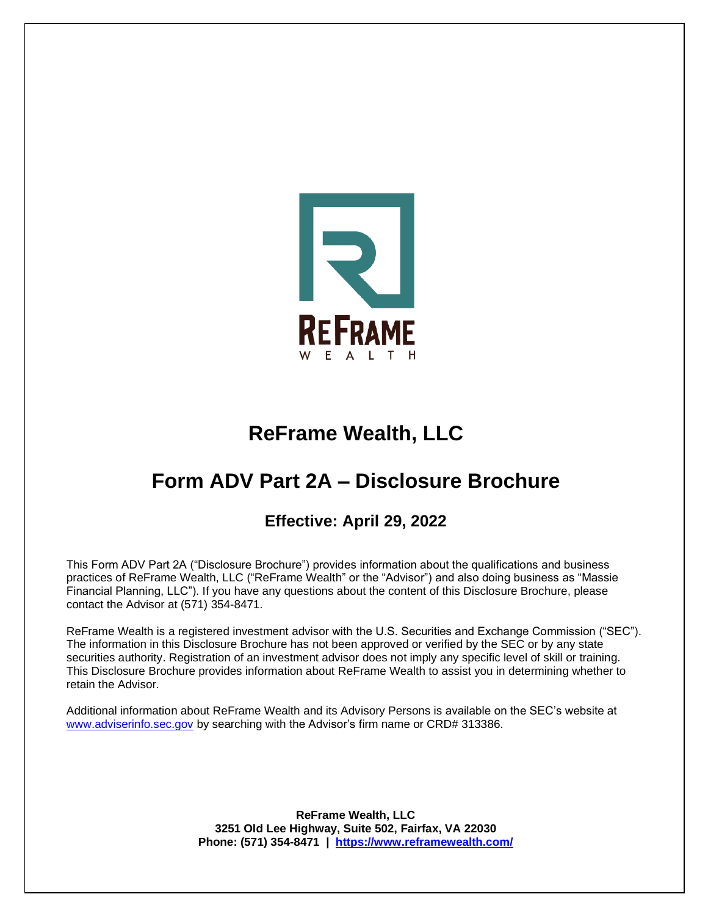

# **ReFrame Wealth, LLC**

# **Form ADV Part 2A – Disclosure Brochure**

# **Effective: April 29, 2022**

This Form ADV Part 2A ("Disclosure Brochure") provides information about the qualifications and business practices of ReFrame Wealth, LLC ("ReFrame Wealth" or the "Advisor") and also doing business as "Massie Financial Planning, LLC"). If you have any questions about the content of this Disclosure Brochure, please contact the Advisor at (571) 354-8471.

ReFrame Wealth is a registered investment advisor with the U.S. Securities and Exchange Commission ("SEC"). The information in this Disclosure Brochure has not been approved or verified by the SEC or by any state securities authority. Registration of an investment advisor does not imply any specific level of skill or training. This Disclosure Brochure provides information about ReFrame Wealth to assist you in determining whether to retain the Advisor.

Additional information about ReFrame Wealth and its Advisory Persons is available on the SEC's website at [www.adviserinfo.sec.gov](http://www.adviserinfo.sec.gov/) by searching with the Advisor's firm name or CRD# 313386.

> **ReFrame Wealth, LLC 3251 Old Lee Highway, Suite 502, Fairfax, VA 22030 Phone: (571) 354-8471 | <https://www.reframewealth.com/>**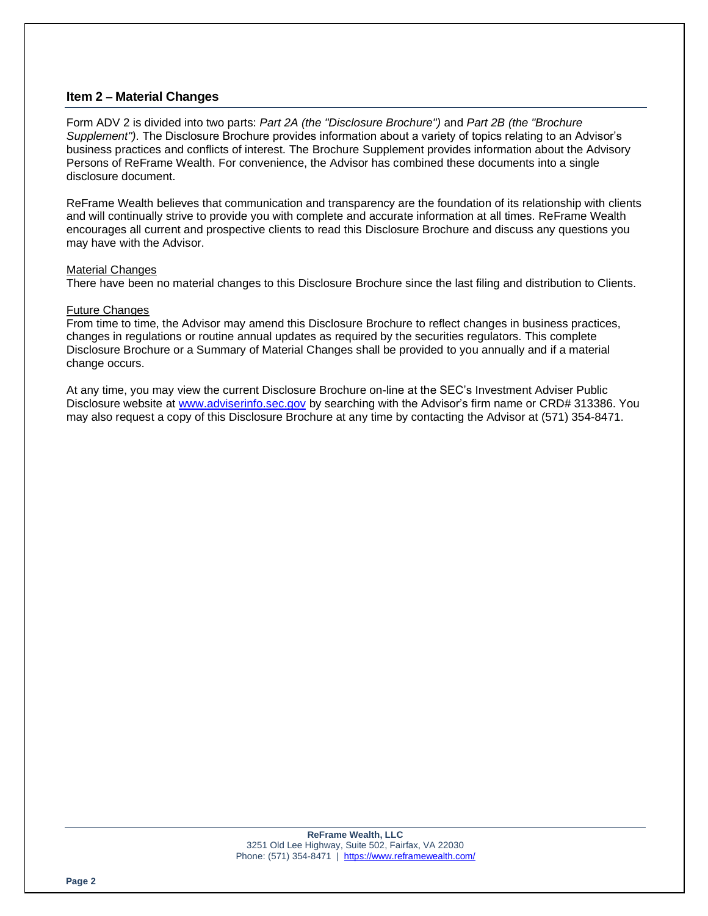# **Item 2 – Material Changes**

Form ADV 2 is divided into two parts: *Part 2A (the "Disclosure Brochure")* and *Part 2B (the "Brochure Supplement")*. The Disclosure Brochure provides information about a variety of topics relating to an Advisor's business practices and conflicts of interest. The Brochure Supplement provides information about the Advisory Persons of ReFrame Wealth. For convenience, the Advisor has combined these documents into a single disclosure document.

ReFrame Wealth believes that communication and transparency are the foundation of its relationship with clients and will continually strive to provide you with complete and accurate information at all times. ReFrame Wealth encourages all current and prospective clients to read this Disclosure Brochure and discuss any questions you may have with the Advisor.

#### Material Changes

There have been no material changes to this Disclosure Brochure since the last filing and distribution to Clients.

#### Future Changes

From time to time, the Advisor may amend this Disclosure Brochure to reflect changes in business practices, changes in regulations or routine annual updates as required by the securities regulators. This complete Disclosure Brochure or a Summary of Material Changes shall be provided to you annually and if a material change occurs.

At any time, you may view the current Disclosure Brochure on-line at the SEC's Investment Adviser Public Disclosure website at [www.adviserinfo.sec.gov](http://www.adviserinfo.sec.gov/) by searching with the Advisor's firm name or CRD# 313386. You may also request a copy of this Disclosure Brochure at any time by contacting the Advisor at (571) 354-8471.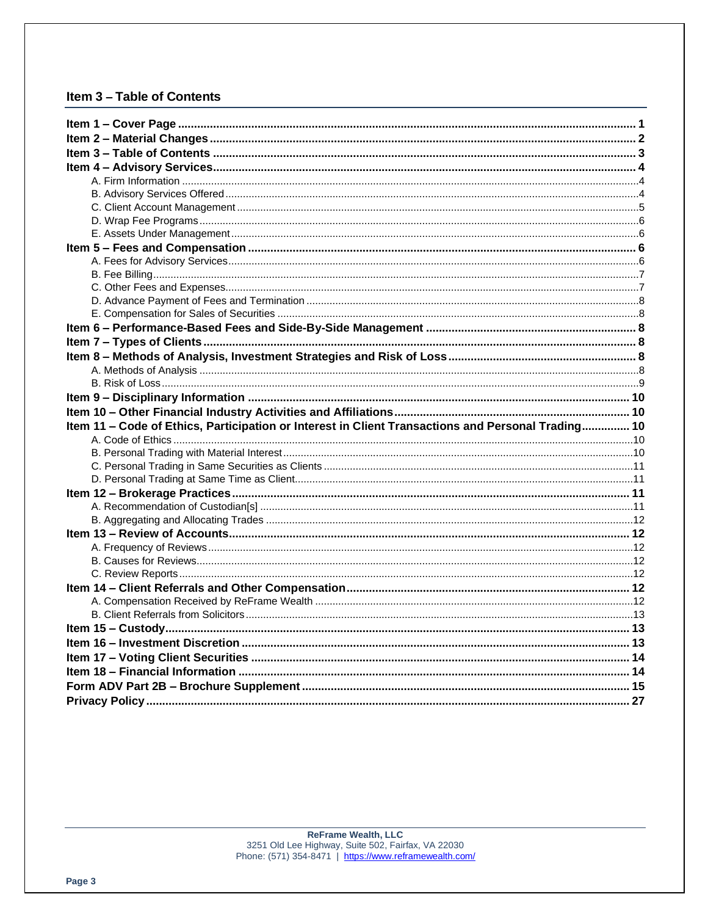# Item 3 - Table of Contents

| Item 11 - Code of Ethics, Participation or Interest in Client Transactions and Personal Trading 10 |  |
|----------------------------------------------------------------------------------------------------|--|
|                                                                                                    |  |
|                                                                                                    |  |
|                                                                                                    |  |
|                                                                                                    |  |
|                                                                                                    |  |
|                                                                                                    |  |
|                                                                                                    |  |
|                                                                                                    |  |
|                                                                                                    |  |
|                                                                                                    |  |
|                                                                                                    |  |
|                                                                                                    |  |
|                                                                                                    |  |
|                                                                                                    |  |
|                                                                                                    |  |
|                                                                                                    |  |
|                                                                                                    |  |
|                                                                                                    |  |
|                                                                                                    |  |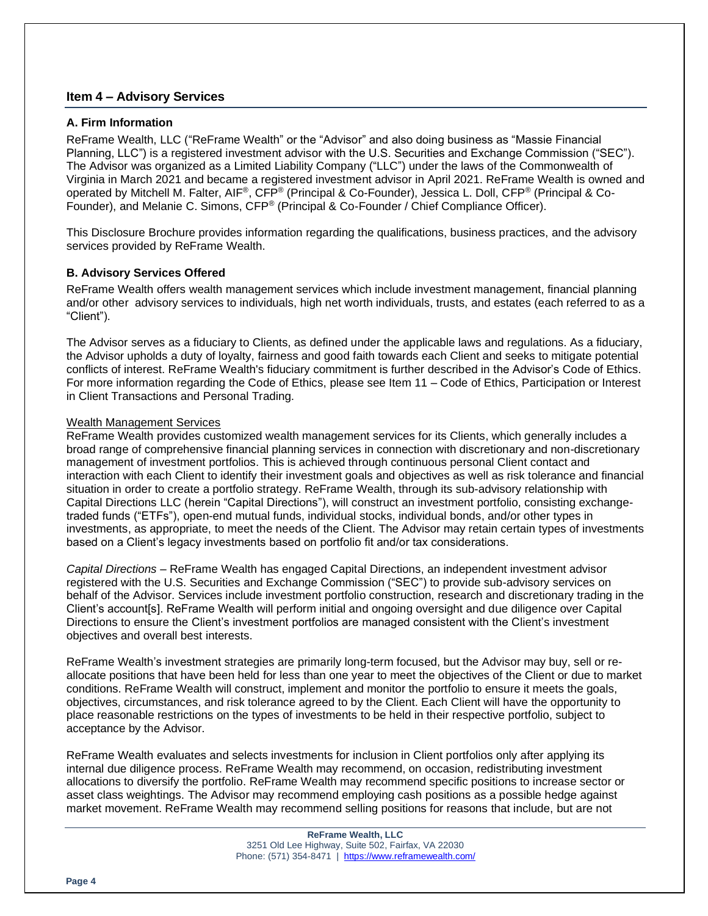# **Item 4 – Advisory Services**

#### **A. Firm Information**

ReFrame Wealth, LLC ("ReFrame Wealth" or the "Advisor" and also doing business as "Massie Financial Planning, LLC") is a registered investment advisor with the U.S. Securities and Exchange Commission ("SEC"). The Advisor was organized as a Limited Liability Company ("LLC") under the laws of the Commonwealth of Virginia in March 2021 and became a registered investment advisor in April 2021. ReFrame Wealth is owned and operated by Mitchell M. Falter, AIF®, CFP® (Principal & Co-Founder), Jessica L. Doll, CFP® (Principal & Co-Founder), and Melanie C. Simons, CFP® (Principal & Co-Founder / Chief Compliance Officer).

This Disclosure Brochure provides information regarding the qualifications, business practices, and the advisory services provided by ReFrame Wealth.

#### **B. Advisory Services Offered**

ReFrame Wealth offers wealth management services which include investment management, financial planning and/or other advisory services to individuals, high net worth individuals, trusts, and estates (each referred to as a "Client").

The Advisor serves as a fiduciary to Clients, as defined under the applicable laws and regulations. As a fiduciary, the Advisor upholds a duty of loyalty, fairness and good faith towards each Client and seeks to mitigate potential conflicts of interest. ReFrame Wealth's fiduciary commitment is further described in the Advisor's Code of Ethics. For more information regarding the Code of Ethics, please see Item 11 – Code of Ethics, Participation or Interest in Client Transactions and Personal Trading.

#### Wealth Management Services

ReFrame Wealth provides customized wealth management services for its Clients, which generally includes a broad range of comprehensive financial planning services in connection with discretionary and non-discretionary management of investment portfolios. This is achieved through continuous personal Client contact and interaction with each Client to identify their investment goals and objectives as well as risk tolerance and financial situation in order to create a portfolio strategy. ReFrame Wealth, through its sub-advisory relationship with Capital Directions LLC (herein "Capital Directions"), will construct an investment portfolio, consisting exchangetraded funds ("ETFs"), open-end mutual funds, individual stocks, individual bonds, and/or other types in investments, as appropriate, to meet the needs of the Client. The Advisor may retain certain types of investments based on a Client's legacy investments based on portfolio fit and/or tax considerations.

*Capital Directions* – ReFrame Wealth has engaged Capital Directions, an independent investment advisor registered with the U.S. Securities and Exchange Commission ("SEC") to provide sub-advisory services on behalf of the Advisor. Services include investment portfolio construction, research and discretionary trading in the Client's account[s]. ReFrame Wealth will perform initial and ongoing oversight and due diligence over Capital Directions to ensure the Client's investment portfolios are managed consistent with the Client's investment objectives and overall best interests.

ReFrame Wealth's investment strategies are primarily long-term focused, but the Advisor may buy, sell or reallocate positions that have been held for less than one year to meet the objectives of the Client or due to market conditions. ReFrame Wealth will construct, implement and monitor the portfolio to ensure it meets the goals, objectives, circumstances, and risk tolerance agreed to by the Client. Each Client will have the opportunity to place reasonable restrictions on the types of investments to be held in their respective portfolio, subject to acceptance by the Advisor.

ReFrame Wealth evaluates and selects investments for inclusion in Client portfolios only after applying its internal due diligence process. ReFrame Wealth may recommend, on occasion, redistributing investment allocations to diversify the portfolio. ReFrame Wealth may recommend specific positions to increase sector or asset class weightings. The Advisor may recommend employing cash positions as a possible hedge against market movement. ReFrame Wealth may recommend selling positions for reasons that include, but are not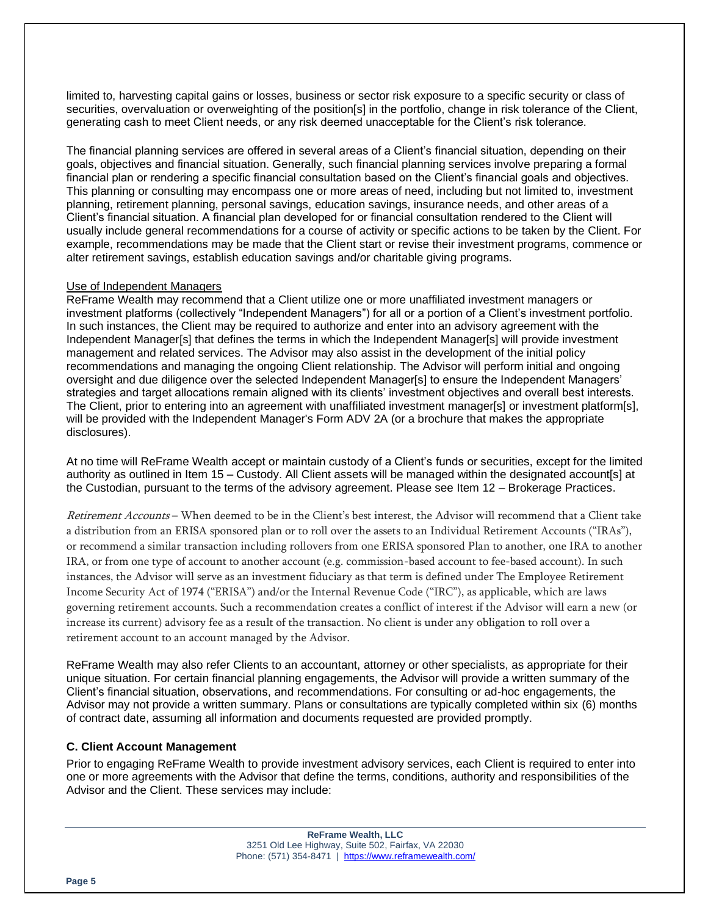limited to, harvesting capital gains or losses, business or sector risk exposure to a specific security or class of securities, overvaluation or overweighting of the position[s] in the portfolio, change in risk tolerance of the Client, generating cash to meet Client needs, or any risk deemed unacceptable for the Client's risk tolerance.

The financial planning services are offered in several areas of a Client's financial situation, depending on their goals, objectives and financial situation. Generally, such financial planning services involve preparing a formal financial plan or rendering a specific financial consultation based on the Client's financial goals and objectives. This planning or consulting may encompass one or more areas of need, including but not limited to, investment planning, retirement planning, personal savings, education savings, insurance needs, and other areas of a Client's financial situation. A financial plan developed for or financial consultation rendered to the Client will usually include general recommendations for a course of activity or specific actions to be taken by the Client. For example, recommendations may be made that the Client start or revise their investment programs, commence or alter retirement savings, establish education savings and/or charitable giving programs.

#### Use of Independent Managers

ReFrame Wealth may recommend that a Client utilize one or more unaffiliated investment managers or investment platforms (collectively "Independent Managers") for all or a portion of a Client's investment portfolio. In such instances, the Client may be required to authorize and enter into an advisory agreement with the Independent Manager[s] that defines the terms in which the Independent Manager[s] will provide investment management and related services. The Advisor may also assist in the development of the initial policy recommendations and managing the ongoing Client relationship. The Advisor will perform initial and ongoing oversight and due diligence over the selected Independent Manager[s] to ensure the Independent Managers' strategies and target allocations remain aligned with its clients' investment objectives and overall best interests. The Client, prior to entering into an agreement with unaffiliated investment manager[s] or investment platform[s], will be provided with the Independent Manager's Form ADV 2A (or a brochure that makes the appropriate disclosures).

At no time will ReFrame Wealth accept or maintain custody of a Client's funds or securities, except for the limited authority as outlined in Item 15 – Custody. All Client assets will be managed within the designated account[s] at the Custodian, pursuant to the terms of the advisory agreement. Please see Item 12 – Brokerage Practices.

Retirement Accounts – When deemed to be in the Client's best interest, the Advisor will recommend that a Client take a distribution from an ERISA sponsored plan or to roll over the assets to an Individual Retirement Accounts ("IRAs"), or recommend a similar transaction including rollovers from one ERISA sponsored Plan to another, one IRA to another IRA, or from one type of account to another account (e.g. commission-based account to fee-based account). In such instances, the Advisor will serve as an investment fiduciary as that term is defined under The Employee Retirement Income Security Act of 1974 ("ERISA") and/or the Internal Revenue Code ("IRC"), as applicable, which are laws governing retirement accounts. Such a recommendation creates a conflict of interest if the Advisor will earn a new (or increase its current) advisory fee as a result of the transaction. No client is under any obligation to roll over a retirement account to an account managed by the Advisor.

ReFrame Wealth may also refer Clients to an accountant, attorney or other specialists, as appropriate for their unique situation. For certain financial planning engagements, the Advisor will provide a written summary of the Client's financial situation, observations, and recommendations. For consulting or ad-hoc engagements, the Advisor may not provide a written summary. Plans or consultations are typically completed within six (6) months of contract date, assuming all information and documents requested are provided promptly.

#### **C. Client Account Management**

Prior to engaging ReFrame Wealth to provide investment advisory services, each Client is required to enter into one or more agreements with the Advisor that define the terms, conditions, authority and responsibilities of the Advisor and the Client. These services may include: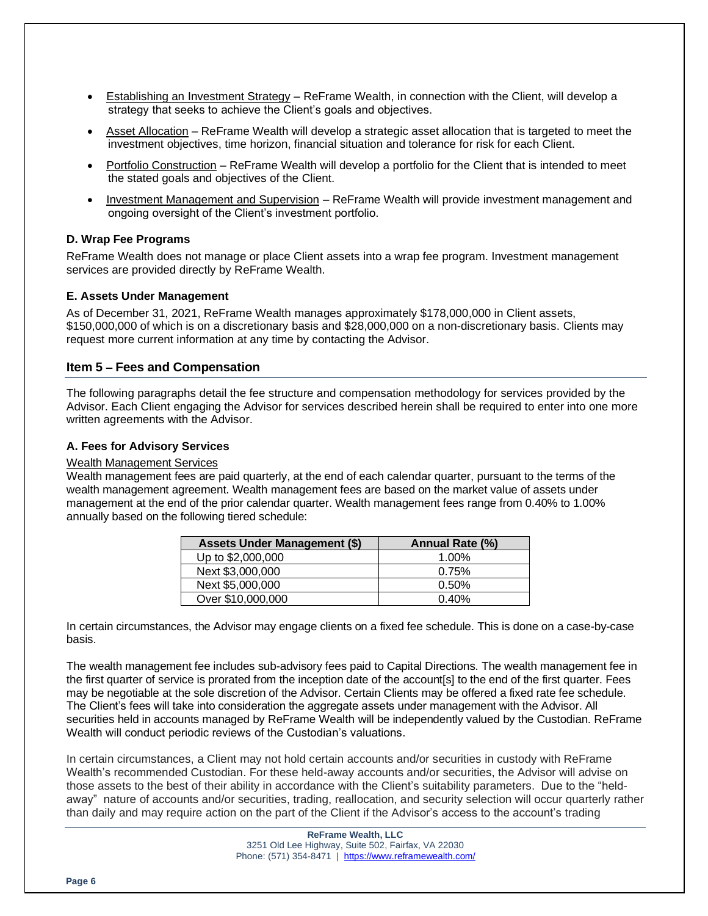- Establishing an Investment Strategy ReFrame Wealth, in connection with the Client, will develop a strategy that seeks to achieve the Client's goals and objectives.
- Asset Allocation ReFrame Wealth will develop a strategic asset allocation that is targeted to meet the investment objectives, time horizon, financial situation and tolerance for risk for each Client.
- Portfolio Construction ReFrame Wealth will develop a portfolio for the Client that is intended to meet the stated goals and objectives of the Client.
- Investment Management and Supervision ReFrame Wealth will provide investment management and ongoing oversight of the Client's investment portfolio.

# **D. Wrap Fee Programs**

ReFrame Wealth does not manage or place Client assets into a wrap fee program. Investment management services are provided directly by ReFrame Wealth.

# **E. Assets Under Management**

As of December 31, 2021, ReFrame Wealth manages approximately \$178,000,000 in Client assets, \$150,000,000 of which is on a discretionary basis and \$28,000,000 on a non-discretionary basis. Clients may request more current information at any time by contacting the Advisor.

# **Item 5 – Fees and Compensation**

The following paragraphs detail the fee structure and compensation methodology for services provided by the Advisor. Each Client engaging the Advisor for services described herein shall be required to enter into one more written agreements with the Advisor.

#### **A. Fees for Advisory Services**

#### Wealth Management Services

Wealth management fees are paid quarterly, at the end of each calendar quarter, pursuant to the terms of the wealth management agreement. Wealth management fees are based on the market value of assets under management at the end of the prior calendar quarter. Wealth management fees range from 0.40% to 1.00% annually based on the following tiered schedule:

| <b>Assets Under Management (\$)</b> | Annual Rate (%) |
|-------------------------------------|-----------------|
| Up to \$2,000,000                   | 1.00%           |
| Next \$3,000,000                    | 0.75%           |
| Next \$5,000,000                    | 0.50%           |
| Over \$10,000,000                   | 0.40%           |

In certain circumstances, the Advisor may engage clients on a fixed fee schedule. This is done on a case-by-case basis.

The wealth management fee includes sub-advisory fees paid to Capital Directions. The wealth management fee in the first quarter of service is prorated from the inception date of the account[s] to the end of the first quarter. Fees may be negotiable at the sole discretion of the Advisor. Certain Clients may be offered a fixed rate fee schedule. The Client's fees will take into consideration the aggregate assets under management with the Advisor. All securities held in accounts managed by ReFrame Wealth will be independently valued by the Custodian. ReFrame Wealth will conduct periodic reviews of the Custodian's valuations.

In certain circumstances, a Client may not hold certain accounts and/or securities in custody with ReFrame Wealth's recommended Custodian. For these held-away accounts and/or securities, the Advisor will advise on those assets to the best of their ability in accordance with the Client's suitability parameters. Due to the "heldaway" nature of accounts and/or securities, trading, reallocation, and security selection will occur quarterly rather than daily and may require action on the part of the Client if the Advisor's access to the account's trading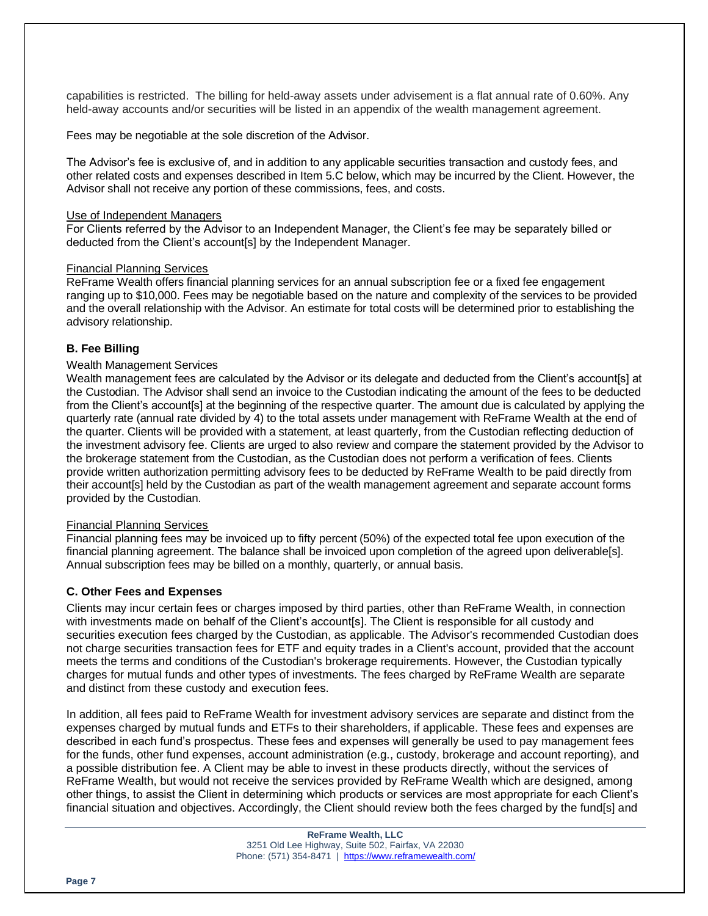capabilities is restricted. The billing for held-away assets under advisement is a flat annual rate of 0.60%. Any held-away accounts and/or securities will be listed in an appendix of the wealth management agreement.

Fees may be negotiable at the sole discretion of the Advisor.

The Advisor's fee is exclusive of, and in addition to any applicable securities transaction and custody fees, and other related costs and expenses described in Item 5.C below, which may be incurred by the Client. However, the Advisor shall not receive any portion of these commissions, fees, and costs.

#### Use of Independent Managers

For Clients referred by the Advisor to an Independent Manager, the Client's fee may be separately billed or deducted from the Client's account[s] by the Independent Manager.

#### Financial Planning Services

ReFrame Wealth offers financial planning services for an annual subscription fee or a fixed fee engagement ranging up to \$10,000. Fees may be negotiable based on the nature and complexity of the services to be provided and the overall relationship with the Advisor. An estimate for total costs will be determined prior to establishing the advisory relationship.

#### **B. Fee Billing**

#### Wealth Management Services

Wealth management fees are calculated by the Advisor or its delegate and deducted from the Client's account[s] at the Custodian. The Advisor shall send an invoice to the Custodian indicating the amount of the fees to be deducted from the Client's account[s] at the beginning of the respective quarter. The amount due is calculated by applying the quarterly rate (annual rate divided by 4) to the total assets under management with ReFrame Wealth at the end of the quarter. Clients will be provided with a statement, at least quarterly, from the Custodian reflecting deduction of the investment advisory fee. Clients are urged to also review and compare the statement provided by the Advisor to the brokerage statement from the Custodian, as the Custodian does not perform a verification of fees. Clients provide written authorization permitting advisory fees to be deducted by ReFrame Wealth to be paid directly from their account[s] held by the Custodian as part of the wealth management agreement and separate account forms provided by the Custodian.

#### Financial Planning Services

Financial planning fees may be invoiced up to fifty percent (50%) of the expected total fee upon execution of the financial planning agreement. The balance shall be invoiced upon completion of the agreed upon deliverable[s]. Annual subscription fees may be billed on a monthly, quarterly, or annual basis.

#### **C. Other Fees and Expenses**

Clients may incur certain fees or charges imposed by third parties, other than ReFrame Wealth, in connection with investments made on behalf of the Client's account[s]. The Client is responsible for all custody and securities execution fees charged by the Custodian, as applicable. The Advisor's recommended Custodian does not charge securities transaction fees for ETF and equity trades in a Client's account, provided that the account meets the terms and conditions of the Custodian's brokerage requirements. However, the Custodian typically charges for mutual funds and other types of investments. The fees charged by ReFrame Wealth are separate and distinct from these custody and execution fees.

In addition, all fees paid to ReFrame Wealth for investment advisory services are separate and distinct from the expenses charged by mutual funds and ETFs to their shareholders, if applicable. These fees and expenses are described in each fund's prospectus. These fees and expenses will generally be used to pay management fees for the funds, other fund expenses, account administration (e.g., custody, brokerage and account reporting), and a possible distribution fee. A Client may be able to invest in these products directly, without the services of ReFrame Wealth, but would not receive the services provided by ReFrame Wealth which are designed, among other things, to assist the Client in determining which products or services are most appropriate for each Client's financial situation and objectives. Accordingly, the Client should review both the fees charged by the fund[s] and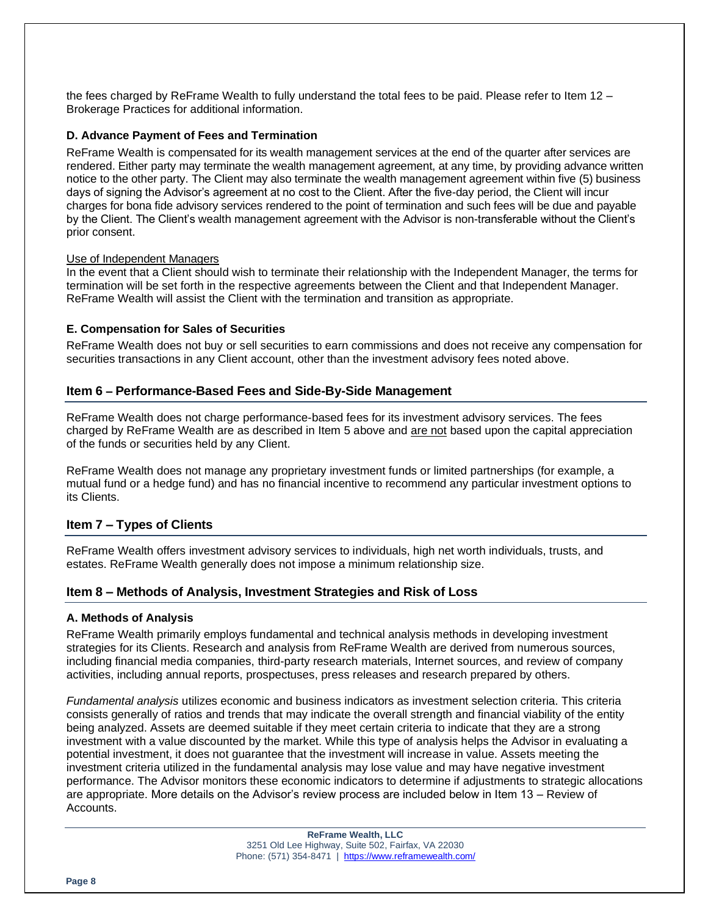the fees charged by ReFrame Wealth to fully understand the total fees to be paid. Please refer to Item 12 – Brokerage Practices for additional information.

#### **D. Advance Payment of Fees and Termination**

ReFrame Wealth is compensated for its wealth management services at the end of the quarter after services are rendered. Either party may terminate the wealth management agreement, at any time, by providing advance written notice to the other party. The Client may also terminate the wealth management agreement within five (5) business days of signing the Advisor's agreement at no cost to the Client. After the five-day period, the Client will incur charges for bona fide advisory services rendered to the point of termination and such fees will be due and payable by the Client. The Client's wealth management agreement with the Advisor is non-transferable without the Client's prior consent.

#### Use of Independent Managers

In the event that a Client should wish to terminate their relationship with the Independent Manager, the terms for termination will be set forth in the respective agreements between the Client and that Independent Manager. ReFrame Wealth will assist the Client with the termination and transition as appropriate.

#### **E. Compensation for Sales of Securities**

ReFrame Wealth does not buy or sell securities to earn commissions and does not receive any compensation for securities transactions in any Client account, other than the investment advisory fees noted above.

# **Item 6 – Performance-Based Fees and Side-By-Side Management**

ReFrame Wealth does not charge performance-based fees for its investment advisory services. The fees charged by ReFrame Wealth are as described in Item 5 above and are not based upon the capital appreciation of the funds or securities held by any Client.

ReFrame Wealth does not manage any proprietary investment funds or limited partnerships (for example, a mutual fund or a hedge fund) and has no financial incentive to recommend any particular investment options to its Clients.

# **Item 7 – Types of Clients**

ReFrame Wealth offers investment advisory services to individuals, high net worth individuals, trusts, and estates. ReFrame Wealth generally does not impose a minimum relationship size.

#### **Item 8 – Methods of Analysis, Investment Strategies and Risk of Loss**

#### **A. Methods of Analysis**

ReFrame Wealth primarily employs fundamental and technical analysis methods in developing investment strategies for its Clients. Research and analysis from ReFrame Wealth are derived from numerous sources, including financial media companies, third-party research materials, Internet sources, and review of company activities, including annual reports, prospectuses, press releases and research prepared by others.

*Fundamental analysis* utilizes economic and business indicators as investment selection criteria. This criteria consists generally of ratios and trends that may indicate the overall strength and financial viability of the entity being analyzed. Assets are deemed suitable if they meet certain criteria to indicate that they are a strong investment with a value discounted by the market. While this type of analysis helps the Advisor in evaluating a potential investment, it does not guarantee that the investment will increase in value. Assets meeting the investment criteria utilized in the fundamental analysis may lose value and may have negative investment performance. The Advisor monitors these economic indicators to determine if adjustments to strategic allocations are appropriate. More details on the Advisor's review process are included below in Item 13 – Review of Accounts.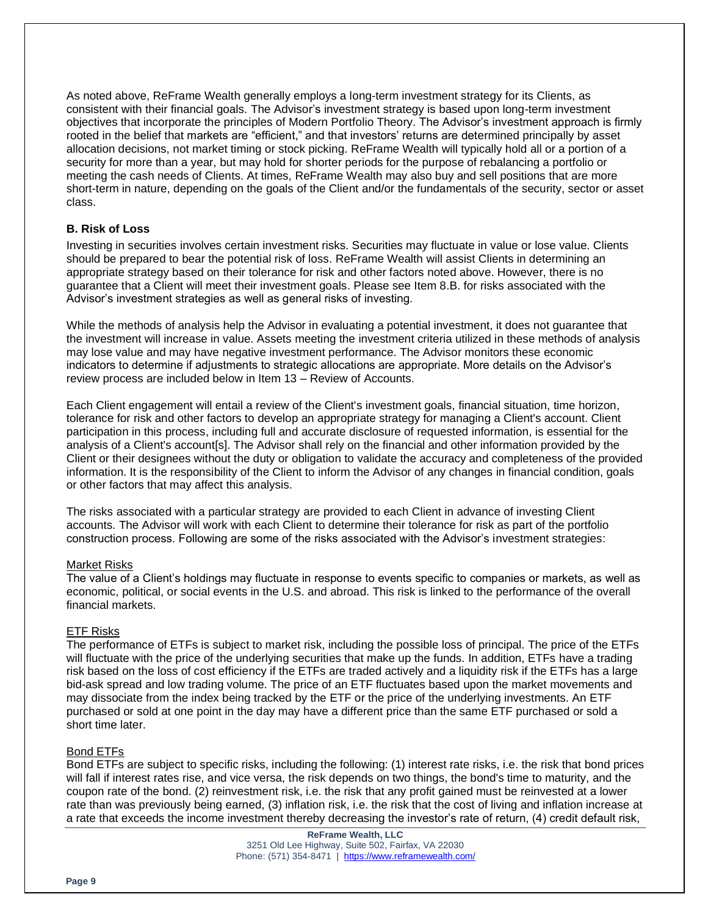As noted above, ReFrame Wealth generally employs a long-term investment strategy for its Clients, as consistent with their financial goals. The Advisor's investment strategy is based upon long-term investment objectives that incorporate the principles of Modern Portfolio Theory. The Advisor's investment approach is firmly rooted in the belief that markets are "efficient," and that investors' returns are determined principally by asset allocation decisions, not market timing or stock picking. ReFrame Wealth will typically hold all or a portion of a security for more than a year, but may hold for shorter periods for the purpose of rebalancing a portfolio or meeting the cash needs of Clients. At times, ReFrame Wealth may also buy and sell positions that are more short-term in nature, depending on the goals of the Client and/or the fundamentals of the security, sector or asset class.

# **B. Risk of Loss**

Investing in securities involves certain investment risks. Securities may fluctuate in value or lose value. Clients should be prepared to bear the potential risk of loss. ReFrame Wealth will assist Clients in determining an appropriate strategy based on their tolerance for risk and other factors noted above. However, there is no guarantee that a Client will meet their investment goals. Please see Item 8.B. for risks associated with the Advisor's investment strategies as well as general risks of investing.

While the methods of analysis help the Advisor in evaluating a potential investment, it does not guarantee that the investment will increase in value. Assets meeting the investment criteria utilized in these methods of analysis may lose value and may have negative investment performance. The Advisor monitors these economic indicators to determine if adjustments to strategic allocations are appropriate. More details on the Advisor's review process are included below in Item 13 – Review of Accounts.

Each Client engagement will entail a review of the Client's investment goals, financial situation, time horizon, tolerance for risk and other factors to develop an appropriate strategy for managing a Client's account. Client participation in this process, including full and accurate disclosure of requested information, is essential for the analysis of a Client's account[s]. The Advisor shall rely on the financial and other information provided by the Client or their designees without the duty or obligation to validate the accuracy and completeness of the provided information. It is the responsibility of the Client to inform the Advisor of any changes in financial condition, goals or other factors that may affect this analysis.

The risks associated with a particular strategy are provided to each Client in advance of investing Client accounts. The Advisor will work with each Client to determine their tolerance for risk as part of the portfolio construction process. Following are some of the risks associated with the Advisor's investment strategies:

#### Market Risks

The value of a Client's holdings may fluctuate in response to events specific to companies or markets, as well as economic, political, or social events in the U.S. and abroad. This risk is linked to the performance of the overall financial markets.

#### ETF Risks

The performance of ETFs is subject to market risk, including the possible loss of principal. The price of the ETFs will fluctuate with the price of the underlying securities that make up the funds. In addition, ETFs have a trading risk based on the loss of cost efficiency if the ETFs are traded actively and a liquidity risk if the ETFs has a large bid-ask spread and low trading volume. The price of an ETF fluctuates based upon the market movements and may dissociate from the index being tracked by the ETF or the price of the underlying investments. An ETF purchased or sold at one point in the day may have a different price than the same ETF purchased or sold a short time later.

#### Bond ETFs

Bond ETFs are subject to specific risks, including the following: (1) interest rate risks, i.e. the risk that bond prices will fall if interest rates rise, and vice versa, the risk depends on two things, the bond's time to maturity, and the coupon rate of the bond. (2) reinvestment risk, i.e. the risk that any profit gained must be reinvested at a lower rate than was previously being earned, (3) inflation risk, i.e. the risk that the cost of living and inflation increase at a rate that exceeds the income investment thereby decreasing the investor's rate of return, (4) credit default risk,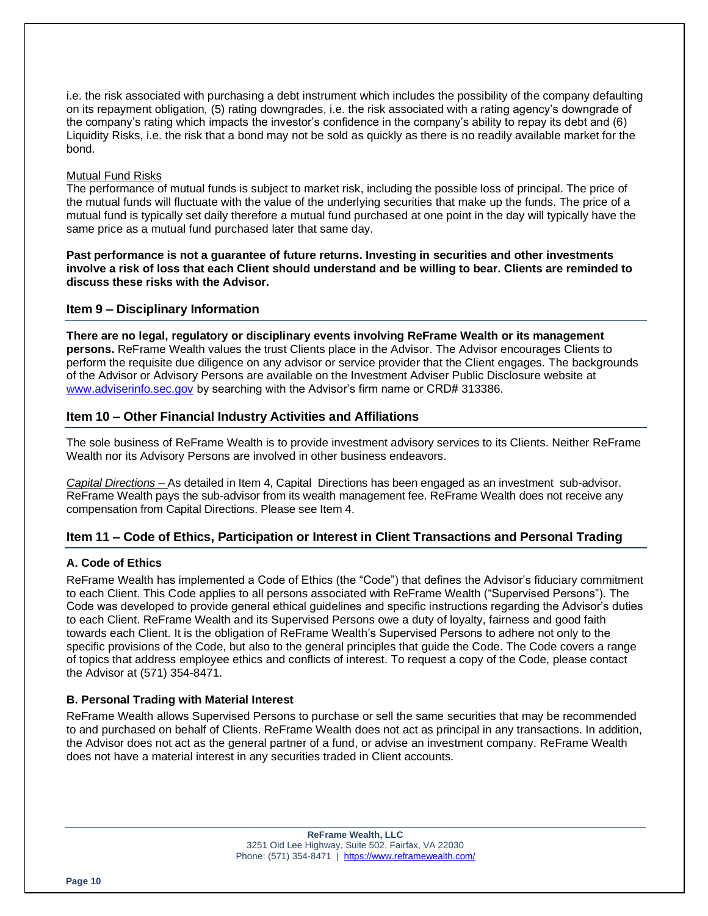i.e. the risk associated with purchasing a debt instrument which includes the possibility of the company defaulting on its repayment obligation, (5) rating downgrades, i.e. the risk associated with a rating agency's downgrade of the company's rating which impacts the investor's confidence in the company's ability to repay its debt and (6) Liquidity Risks, i.e. the risk that a bond may not be sold as quickly as there is no readily available market for the bond.

#### Mutual Fund Risks

The performance of mutual funds is subject to market risk, including the possible loss of principal. The price of the mutual funds will fluctuate with the value of the underlying securities that make up the funds. The price of a mutual fund is typically set daily therefore a mutual fund purchased at one point in the day will typically have the same price as a mutual fund purchased later that same day.

**Past performance is not a guarantee of future returns. Investing in securities and other investments involve a risk of loss that each Client should understand and be willing to bear. Clients are reminded to discuss these risks with the Advisor.**

# **Item 9 – Disciplinary Information**

**There are no legal, regulatory or disciplinary events involving ReFrame Wealth or its management persons.** ReFrame Wealth values the trust Clients place in the Advisor. The Advisor encourages Clients to perform the requisite due diligence on any advisor or service provider that the Client engages. The backgrounds of the Advisor or Advisory Persons are available on the Investment Adviser Public Disclosure website at [www.adviserinfo.sec.gov](http://www.adviserinfo.sec.gov/) by searching with the Advisor's firm name or CRD# 313386.

# **Item 10 – Other Financial Industry Activities and Affiliations**

The sole business of ReFrame Wealth is to provide investment advisory services to its Clients. Neither ReFrame Wealth nor its Advisory Persons are involved in other business endeavors.

*Capital Directions* – As detailed in Item 4, Capital Directions has been engaged as an investment sub-advisor. ReFrame Wealth pays the sub-advisor from its wealth management fee. ReFrame Wealth does not receive any compensation from Capital Directions. Please see Item 4.

# **Item 11 – Code of Ethics, Participation or Interest in Client Transactions and Personal Trading**

# **A. Code of Ethics**

ReFrame Wealth has implemented a Code of Ethics (the "Code") that defines the Advisor's fiduciary commitment to each Client. This Code applies to all persons associated with ReFrame Wealth ("Supervised Persons"). The Code was developed to provide general ethical guidelines and specific instructions regarding the Advisor's duties to each Client. ReFrame Wealth and its Supervised Persons owe a duty of loyalty, fairness and good faith towards each Client. It is the obligation of ReFrame Wealth's Supervised Persons to adhere not only to the specific provisions of the Code, but also to the general principles that guide the Code. The Code covers a range of topics that address employee ethics and conflicts of interest. To request a copy of the Code, please contact the Advisor at (571) 354-8471.

# **B. Personal Trading with Material Interest**

ReFrame Wealth allows Supervised Persons to purchase or sell the same securities that may be recommended to and purchased on behalf of Clients. ReFrame Wealth does not act as principal in any transactions. In addition, the Advisor does not act as the general partner of a fund, or advise an investment company. ReFrame Wealth does not have a material interest in any securities traded in Client accounts.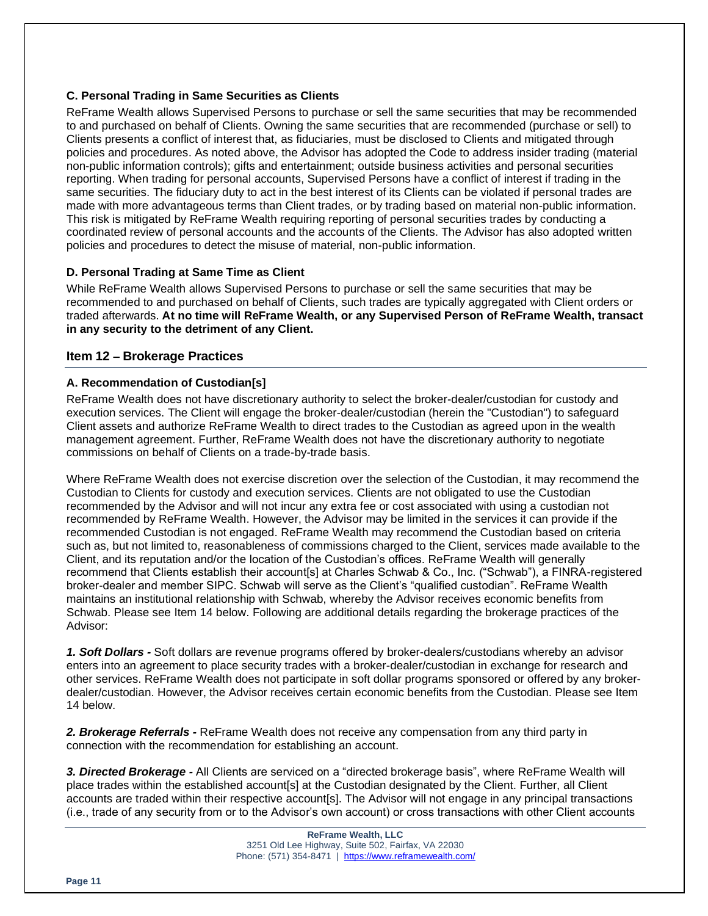# **C. Personal Trading in Same Securities as Clients**

ReFrame Wealth allows Supervised Persons to purchase or sell the same securities that may be recommended to and purchased on behalf of Clients. Owning the same securities that are recommended (purchase or sell) to Clients presents a conflict of interest that, as fiduciaries, must be disclosed to Clients and mitigated through policies and procedures. As noted above, the Advisor has adopted the Code to address insider trading (material non-public information controls); gifts and entertainment; outside business activities and personal securities reporting. When trading for personal accounts, Supervised Persons have a conflict of interest if trading in the same securities. The fiduciary duty to act in the best interest of its Clients can be violated if personal trades are made with more advantageous terms than Client trades, or by trading based on material non-public information. This risk is mitigated by ReFrame Wealth requiring reporting of personal securities trades by conducting a coordinated review of personal accounts and the accounts of the Clients. The Advisor has also adopted written policies and procedures to detect the misuse of material, non-public information.

# **D. Personal Trading at Same Time as Client**

While ReFrame Wealth allows Supervised Persons to purchase or sell the same securities that may be recommended to and purchased on behalf of Clients, such trades are typically aggregated with Client orders or traded afterwards. **At no time will ReFrame Wealth, or any Supervised Person of ReFrame Wealth, transact in any security to the detriment of any Client.**

# **Item 12 – Brokerage Practices**

# **A. Recommendation of Custodian[s]**

ReFrame Wealth does not have discretionary authority to select the broker-dealer/custodian for custody and execution services. The Client will engage the broker-dealer/custodian (herein the "Custodian") to safeguard Client assets and authorize ReFrame Wealth to direct trades to the Custodian as agreed upon in the wealth management agreement. Further, ReFrame Wealth does not have the discretionary authority to negotiate commissions on behalf of Clients on a trade-by-trade basis.

Where ReFrame Wealth does not exercise discretion over the selection of the Custodian, it may recommend the Custodian to Clients for custody and execution services. Clients are not obligated to use the Custodian recommended by the Advisor and will not incur any extra fee or cost associated with using a custodian not recommended by ReFrame Wealth. However, the Advisor may be limited in the services it can provide if the recommended Custodian is not engaged. ReFrame Wealth may recommend the Custodian based on criteria such as, but not limited to, reasonableness of commissions charged to the Client, services made available to the Client, and its reputation and/or the location of the Custodian's offices. ReFrame Wealth will generally recommend that Clients establish their account[s] at Charles Schwab & Co., Inc. ("Schwab"), a FINRA-registered broker-dealer and member SIPC. Schwab will serve as the Client's "qualified custodian". ReFrame Wealth maintains an institutional relationship with Schwab, whereby the Advisor receives economic benefits from Schwab. Please see Item 14 below. Following are additional details regarding the brokerage practices of the Advisor:

*1. Soft Dollars -* Soft dollars are revenue programs offered by broker-dealers/custodians whereby an advisor enters into an agreement to place security trades with a broker-dealer/custodian in exchange for research and other services. ReFrame Wealth does not participate in soft dollar programs sponsored or offered by any brokerdealer/custodian. However, the Advisor receives certain economic benefits from the Custodian. Please see Item 14 below.

*2. Brokerage Referrals -* ReFrame Wealth does not receive any compensation from any third party in connection with the recommendation for establishing an account.

*3. Directed Brokerage -* All Clients are serviced on a "directed brokerage basis", where ReFrame Wealth will place trades within the established account[s] at the Custodian designated by the Client. Further, all Client accounts are traded within their respective account[s]. The Advisor will not engage in any principal transactions (i.e., trade of any security from or to the Advisor's own account) or cross transactions with other Client accounts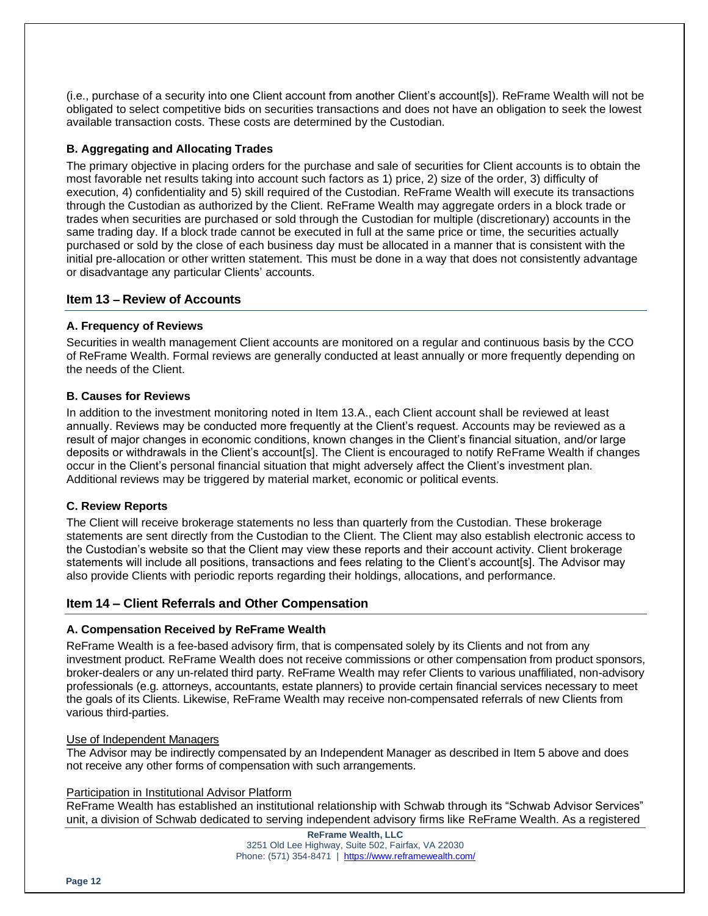(i.e., purchase of a security into one Client account from another Client's account[s]). ReFrame Wealth will not be obligated to select competitive bids on securities transactions and does not have an obligation to seek the lowest available transaction costs. These costs are determined by the Custodian.

# **B. Aggregating and Allocating Trades**

The primary objective in placing orders for the purchase and sale of securities for Client accounts is to obtain the most favorable net results taking into account such factors as 1) price, 2) size of the order, 3) difficulty of execution, 4) confidentiality and 5) skill required of the Custodian. ReFrame Wealth will execute its transactions through the Custodian as authorized by the Client. ReFrame Wealth may aggregate orders in a block trade or trades when securities are purchased or sold through the Custodian for multiple (discretionary) accounts in the same trading day. If a block trade cannot be executed in full at the same price or time, the securities actually purchased or sold by the close of each business day must be allocated in a manner that is consistent with the initial pre-allocation or other written statement. This must be done in a way that does not consistently advantage or disadvantage any particular Clients' accounts.

# **Item 13 – Review of Accounts**

# **A. Frequency of Reviews**

Securities in wealth management Client accounts are monitored on a regular and continuous basis by the CCO of ReFrame Wealth. Formal reviews are generally conducted at least annually or more frequently depending on the needs of the Client.

# **B. Causes for Reviews**

In addition to the investment monitoring noted in Item 13.A., each Client account shall be reviewed at least annually. Reviews may be conducted more frequently at the Client's request. Accounts may be reviewed as a result of major changes in economic conditions, known changes in the Client's financial situation, and/or large deposits or withdrawals in the Client's account[s]. The Client is encouraged to notify ReFrame Wealth if changes occur in the Client's personal financial situation that might adversely affect the Client's investment plan. Additional reviews may be triggered by material market, economic or political events.

# **C. Review Reports**

The Client will receive brokerage statements no less than quarterly from the Custodian. These brokerage statements are sent directly from the Custodian to the Client. The Client may also establish electronic access to the Custodian's website so that the Client may view these reports and their account activity. Client brokerage statements will include all positions, transactions and fees relating to the Client's account[s]. The Advisor may also provide Clients with periodic reports regarding their holdings, allocations, and performance.

# **Item 14 – Client Referrals and Other Compensation**

# **A. Compensation Received by ReFrame Wealth**

ReFrame Wealth is a fee-based advisory firm, that is compensated solely by its Clients and not from any investment product. ReFrame Wealth does not receive commissions or other compensation from product sponsors, broker-dealers or any un-related third party. ReFrame Wealth may refer Clients to various unaffiliated, non-advisory professionals (e.g. attorneys, accountants, estate planners) to provide certain financial services necessary to meet the goals of its Clients. Likewise, ReFrame Wealth may receive non-compensated referrals of new Clients from various third-parties.

#### Use of Independent Managers

The Advisor may be indirectly compensated by an Independent Manager as described in Item 5 above and does not receive any other forms of compensation with such arrangements.

#### Participation in Institutional Advisor Platform

ReFrame Wealth has established an institutional relationship with Schwab through its "Schwab Advisor Services" unit, a division of Schwab dedicated to serving independent advisory firms like ReFrame Wealth. As a registered

> **ReFrame Wealth, LLC** 3251 Old Lee Highway, Suite 502, Fairfax, VA 22030 Phone: (571) 354-8471 |<https://www.reframewealth.com/>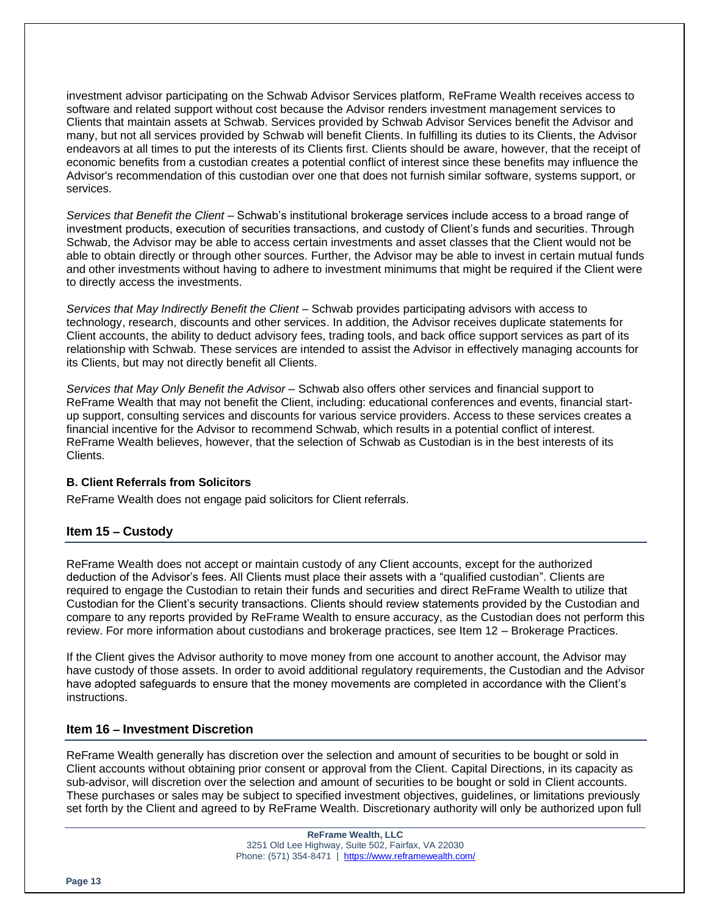investment advisor participating on the Schwab Advisor Services platform, ReFrame Wealth receives access to software and related support without cost because the Advisor renders investment management services to Clients that maintain assets at Schwab. Services provided by Schwab Advisor Services benefit the Advisor and many, but not all services provided by Schwab will benefit Clients. In fulfilling its duties to its Clients, the Advisor endeavors at all times to put the interests of its Clients first. Clients should be aware, however, that the receipt of economic benefits from a custodian creates a potential conflict of interest since these benefits may influence the Advisor's recommendation of this custodian over one that does not furnish similar software, systems support, or services.

*Services that Benefit the Client* – Schwab's institutional brokerage services include access to a broad range of investment products, execution of securities transactions, and custody of Client's funds and securities. Through Schwab, the Advisor may be able to access certain investments and asset classes that the Client would not be able to obtain directly or through other sources. Further, the Advisor may be able to invest in certain mutual funds and other investments without having to adhere to investment minimums that might be required if the Client were to directly access the investments.

Services that May Indirectly Benefit the Client – Schwab provides participating advisors with access to technology, research, discounts and other services. In addition, the Advisor receives duplicate statements for Client accounts, the ability to deduct advisory fees, trading tools, and back office support services as part of its relationship with Schwab. These services are intended to assist the Advisor in effectively managing accounts for its Clients, but may not directly benefit all Clients.

*Services that May Only Benefit the Advisor* – Schwab also offers other services and financial support to ReFrame Wealth that may not benefit the Client, including: educational conferences and events, financial startup support, consulting services and discounts for various service providers. Access to these services creates a financial incentive for the Advisor to recommend Schwab, which results in a potential conflict of interest. ReFrame Wealth believes, however, that the selection of Schwab as Custodian is in the best interests of its Clients.

#### **B. Client Referrals from Solicitors**

ReFrame Wealth does not engage paid solicitors for Client referrals.

# **Item 15 – Custody**

ReFrame Wealth does not accept or maintain custody of any Client accounts, except for the authorized deduction of the Advisor's fees. All Clients must place their assets with a "qualified custodian". Clients are required to engage the Custodian to retain their funds and securities and direct ReFrame Wealth to utilize that Custodian for the Client's security transactions. Clients should review statements provided by the Custodian and compare to any reports provided by ReFrame Wealth to ensure accuracy, as the Custodian does not perform this review. For more information about custodians and brokerage practices, see Item 12 – Brokerage Practices.

If the Client gives the Advisor authority to move money from one account to another account, the Advisor may have custody of those assets. In order to avoid additional regulatory requirements, the Custodian and the Advisor have adopted safeguards to ensure that the money movements are completed in accordance with the Client's instructions.

#### **Item 16 – Investment Discretion**

ReFrame Wealth generally has discretion over the selection and amount of securities to be bought or sold in Client accounts without obtaining prior consent or approval from the Client. Capital Directions, in its capacity as sub-advisor, will discretion over the selection and amount of securities to be bought or sold in Client accounts. These purchases or sales may be subject to specified investment objectives, guidelines, or limitations previously set forth by the Client and agreed to by ReFrame Wealth. Discretionary authority will only be authorized upon full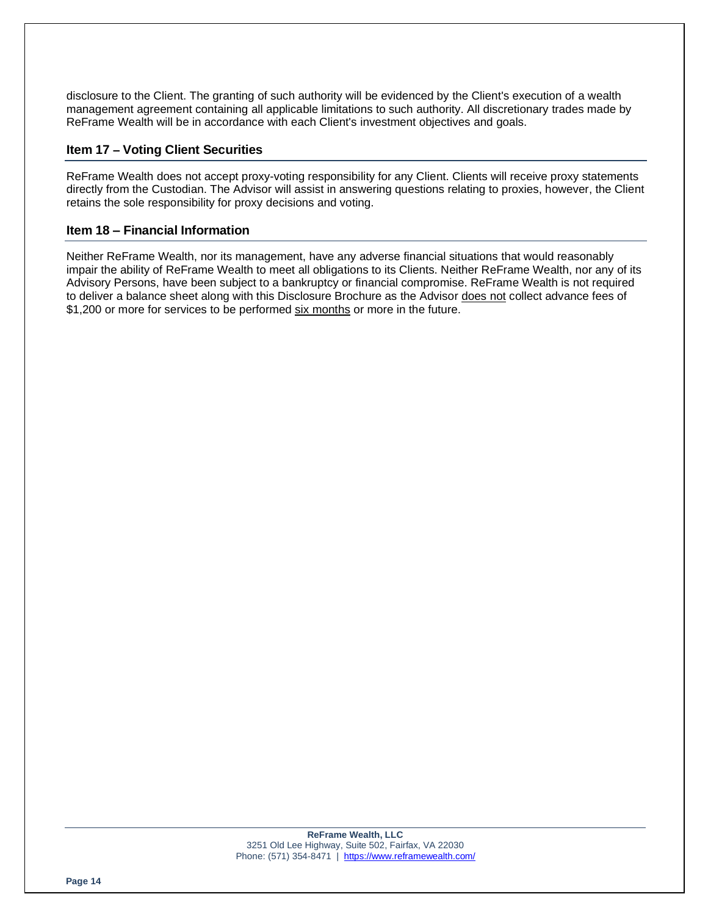disclosure to the Client. The granting of such authority will be evidenced by the Client's execution of a wealth management agreement containing all applicable limitations to such authority. All discretionary trades made by ReFrame Wealth will be in accordance with each Client's investment objectives and goals.

# **Item 17 – Voting Client Securities**

ReFrame Wealth does not accept proxy-voting responsibility for any Client. Clients will receive proxy statements directly from the Custodian. The Advisor will assist in answering questions relating to proxies, however, the Client retains the sole responsibility for proxy decisions and voting.

# **Item 18 – Financial Information**

Neither ReFrame Wealth, nor its management, have any adverse financial situations that would reasonably impair the ability of ReFrame Wealth to meet all obligations to its Clients. Neither ReFrame Wealth, nor any of its Advisory Persons, have been subject to a bankruptcy or financial compromise. ReFrame Wealth is not required to deliver a balance sheet along with this Disclosure Brochure as the Advisor does not collect advance fees of \$1,200 or more for services to be performed six months or more in the future.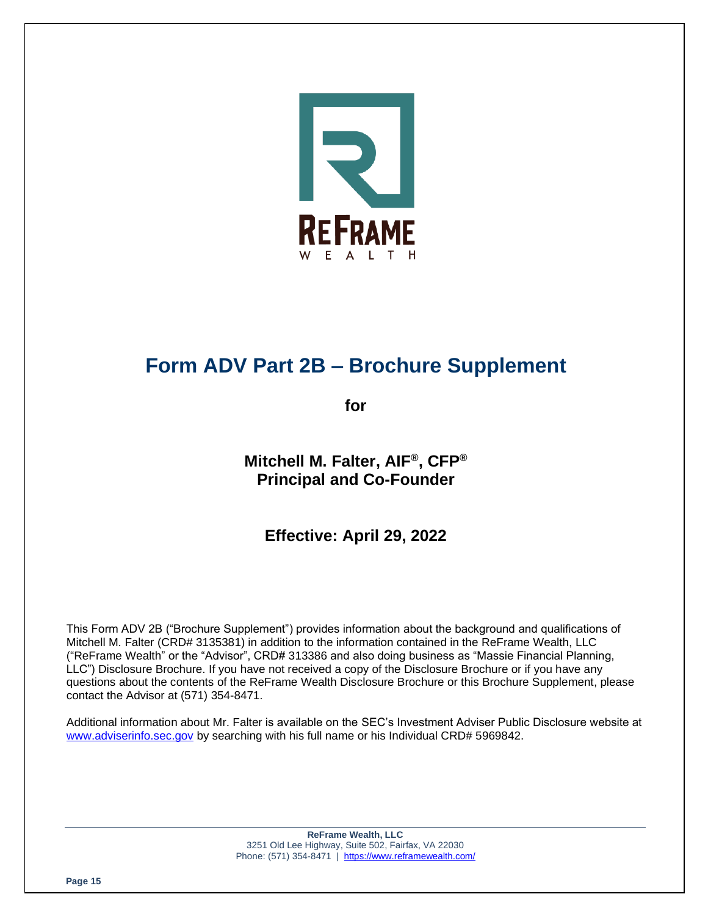

# **Form ADV Part 2B – Brochure Supplement**

**for**

**Mitchell M. Falter, AIF®, CFP® Principal and Co-Founder**

**Effective: April 29, 2022**

This Form ADV 2B ("Brochure Supplement") provides information about the background and qualifications of Mitchell M. Falter (CRD# 3135381) in addition to the information contained in the ReFrame Wealth, LLC ("ReFrame Wealth" or the "Advisor", CRD# 313386 and also doing business as "Massie Financial Planning, LLC") Disclosure Brochure. If you have not received a copy of the Disclosure Brochure or if you have any questions about the contents of the ReFrame Wealth Disclosure Brochure or this Brochure Supplement, please contact the Advisor at (571) 354-8471.

Additional information about Mr. Falter is available on the SEC's Investment Adviser Public Disclosure website at [www.adviserinfo.sec.gov](http://www.adviserinfo.sec.gov/) by searching with his full name or his Individual CRD# 5969842.

> **ReFrame Wealth, LLC** 3251 Old Lee Highway, Suite 502, Fairfax, VA 22030 Phone: (571) 354-8471 |<https://www.reframewealth.com/>

**Page 15**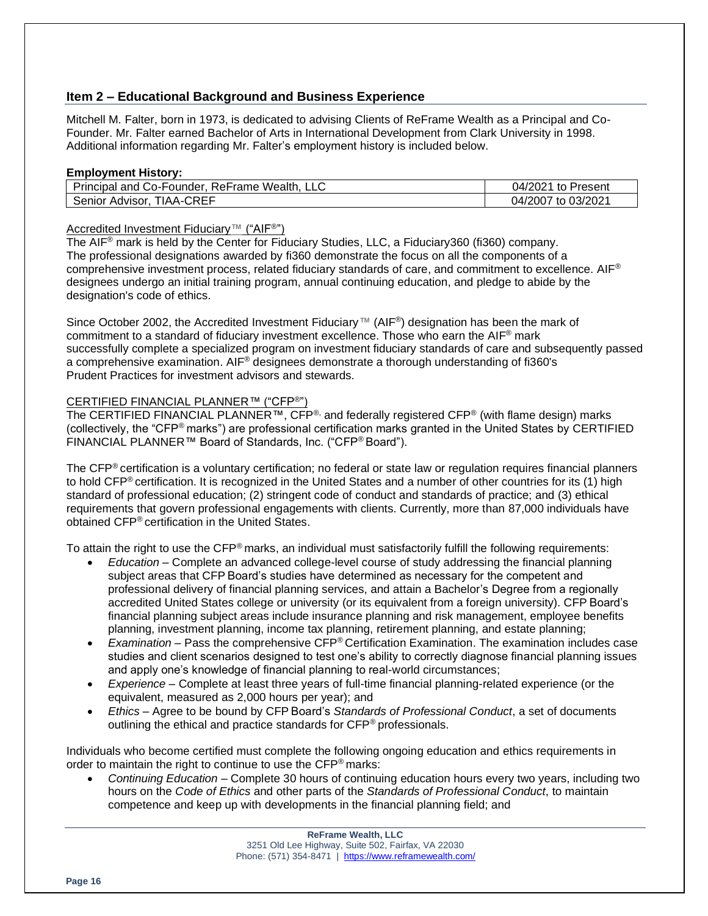# **Item 2 – Educational Background and Business Experience**

Mitchell M. Falter, born in 1973, is dedicated to advising Clients of ReFrame Wealth as a Principal and Co-Founder. Mr. Falter earned Bachelor of Arts in International Development from Clark University in 1998. Additional information regarding Mr. Falter's employment history is included below.

#### **Employment History:**

| Principal and Co-Founder, ReFrame Wealth, | 04/2021<br>to Present |
|-------------------------------------------|-----------------------|
| TIAA-CREF<br>Senior Advisor.              | 04/2007 to 03/2021    |

# Accredited Investment Fiduciary™ ("AIF®")

The AIF® mark is held by the Center for Fiduciary Studies, LLC, a Fiduciary360 (fi360) company. The professional designations awarded by fi360 demonstrate the focus on all the components of a comprehensive investment process, related fiduciary standards of care, and commitment to excellence. AIF® designees undergo an initial training program, annual continuing education, and pledge to abide by the designation's code of ethics.

Since October 2002, the Accredited Investment Fiduciary™ (AIF<sup>®</sup>) designation has been the mark of commitment to a standard of fiduciary investment excellence. Those who earn the AIF® mark successfully complete a specialized program on investment fiduciary standards of care and subsequently passed a comprehensive examination. AIF® designees demonstrate a thorough understanding of fi360's Prudent Practices for investment advisors and stewards.

# CERTIFIED FINANCIAL PLANNER™ ("CFP®")

The CERTIFIED FINANCIAL PLANNER™, CFP<sup>®,</sup> and federally registered CFP<sup>®</sup> (with flame design) marks (collectively, the "CFP® marks") are professional certification marks granted in the United States by CERTIFIED FINANCIAL PLANNER™ Board of Standards, Inc. ("CFP® Board").

The CFP<sup>®</sup> certification is a voluntary certification; no federal or state law or regulation requires financial planners to hold CFP® certification. It is recognized in the United States and a number of other countries for its (1) high standard of professional education; (2) stringent code of conduct and standards of practice; and (3) ethical requirements that govern professional engagements with clients. Currently, more than 87,000 individuals have obtained CFP® certification in the United States.

To attain the right to use the  $\text{CFP}^{\textcircled{}}$  marks, an individual must satisfactorily fulfill the following requirements:

- *Education* Complete an advanced college-level course of study addressing the financial planning subject areas that CFP Board's studies have determined as necessary for the competent and professional delivery of financial planning services, and attain a Bachelor's Degree from a regionally accredited United States college or university (or its equivalent from a foreign university). CFP Board's financial planning subject areas include insurance planning and risk management, employee benefits planning, investment planning, income tax planning, retirement planning, and estate planning;
- *Examination* Pass the comprehensive CFP® Certification Examination. The examination includes case studies and client scenarios designed to test one's ability to correctly diagnose financial planning issues and apply one's knowledge of financial planning to real-world circumstances;
- *Experience* Complete at least three years of full-time financial planning-related experience (or the equivalent, measured as 2,000 hours per year); and
- *Ethics* Agree to be bound by CFP Board's *Standards of Professional Conduct*, a set of documents outlining the ethical and practice standards for CFP® professionals.

Individuals who become certified must complete the following ongoing education and ethics requirements in order to maintain the right to continue to use the CFP® marks:

• *Continuing Education* – Complete 30 hours of continuing education hours every two years, including two hours on the *Code of Ethics* and other parts of the *Standards of Professional Conduct*, to maintain competence and keep up with developments in the financial planning field; and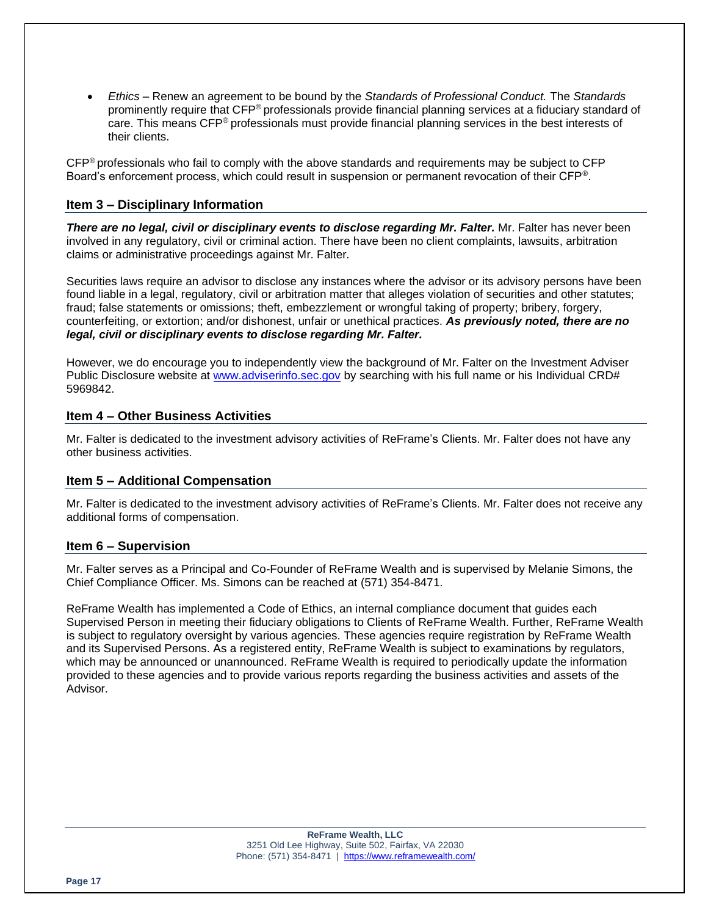• *Ethics* – Renew an agreement to be bound by the *Standards of Professional Conduct.* The *Standards* prominently require that CFP® professionals provide financial planning services at a fiduciary standard of care. This means CFP® professionals must provide financial planning services in the best interests of their clients.

CFP® professionals who fail to comply with the above standards and requirements may be subject to CFP Board's enforcement process, which could result in suspension or permanent revocation of their CFP®.

# **Item 3 – Disciplinary Information**

*There are no legal, civil or disciplinary events to disclose regarding Mr. Falter.* Mr. Falter has never been involved in any regulatory, civil or criminal action. There have been no client complaints, lawsuits, arbitration claims or administrative proceedings against Mr. Falter.

Securities laws require an advisor to disclose any instances where the advisor or its advisory persons have been found liable in a legal, regulatory, civil or arbitration matter that alleges violation of securities and other statutes; fraud; false statements or omissions; theft, embezzlement or wrongful taking of property; bribery, forgery, counterfeiting, or extortion; and/or dishonest, unfair or unethical practices. *As previously noted, there are no legal, civil or disciplinary events to disclose regarding Mr. Falter.*

However, we do encourage you to independently view the background of Mr. Falter on the Investment Adviser Public Disclosure website at [www.adviserinfo.sec.gov](http://www.adviserinfo.sec.gov/) by searching with his full name or his Individual CRD# 5969842.

# **Item 4 – Other Business Activities**

Mr. Falter is dedicated to the investment advisory activities of ReFrame's Clients. Mr. Falter does not have any other business activities.

# **Item 5 – Additional Compensation**

Mr. Falter is dedicated to the investment advisory activities of ReFrame's Clients. Mr. Falter does not receive any additional forms of compensation.

# **Item 6 – Supervision**

Mr. Falter serves as a Principal and Co-Founder of ReFrame Wealth and is supervised by Melanie Simons, the Chief Compliance Officer. Ms. Simons can be reached at (571) 354-8471.

ReFrame Wealth has implemented a Code of Ethics, an internal compliance document that guides each Supervised Person in meeting their fiduciary obligations to Clients of ReFrame Wealth. Further, ReFrame Wealth is subject to regulatory oversight by various agencies. These agencies require registration by ReFrame Wealth and its Supervised Persons. As a registered entity, ReFrame Wealth is subject to examinations by regulators, which may be announced or unannounced. ReFrame Wealth is required to periodically update the information provided to these agencies and to provide various reports regarding the business activities and assets of the Advisor.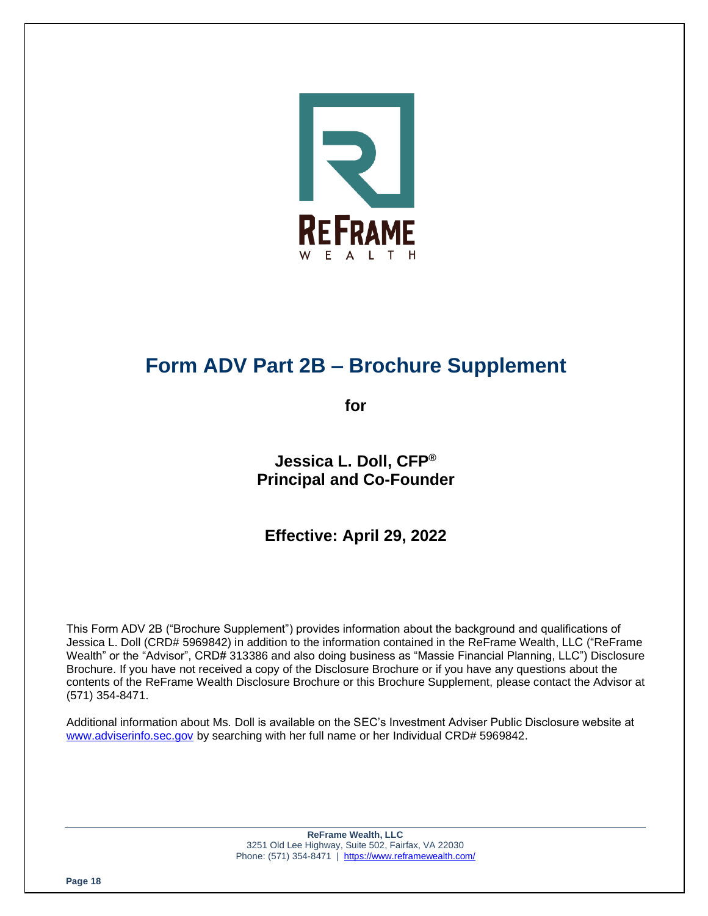

# **Form ADV Part 2B – Brochure Supplement**

**for**

**Jessica L. Doll, CFP® Principal and Co-Founder**

**Effective: April 29, 2022**

This Form ADV 2B ("Brochure Supplement") provides information about the background and qualifications of Jessica L. Doll (CRD# 5969842) in addition to the information contained in the ReFrame Wealth, LLC ("ReFrame Wealth" or the "Advisor", CRD# 313386 and also doing business as "Massie Financial Planning, LLC") Disclosure Brochure. If you have not received a copy of the Disclosure Brochure or if you have any questions about the contents of the ReFrame Wealth Disclosure Brochure or this Brochure Supplement, please contact the Advisor at (571) 354-8471.

Additional information about Ms. Doll is available on the SEC's Investment Adviser Public Disclosure website at [www.adviserinfo.sec.gov](http://www.adviserinfo.sec.gov/) by searching with her full name or her Individual CRD# 5969842.

> **ReFrame Wealth, LLC** 3251 Old Lee Highway, Suite 502, Fairfax, VA 22030 Phone: (571) 354-8471 |<https://www.reframewealth.com/>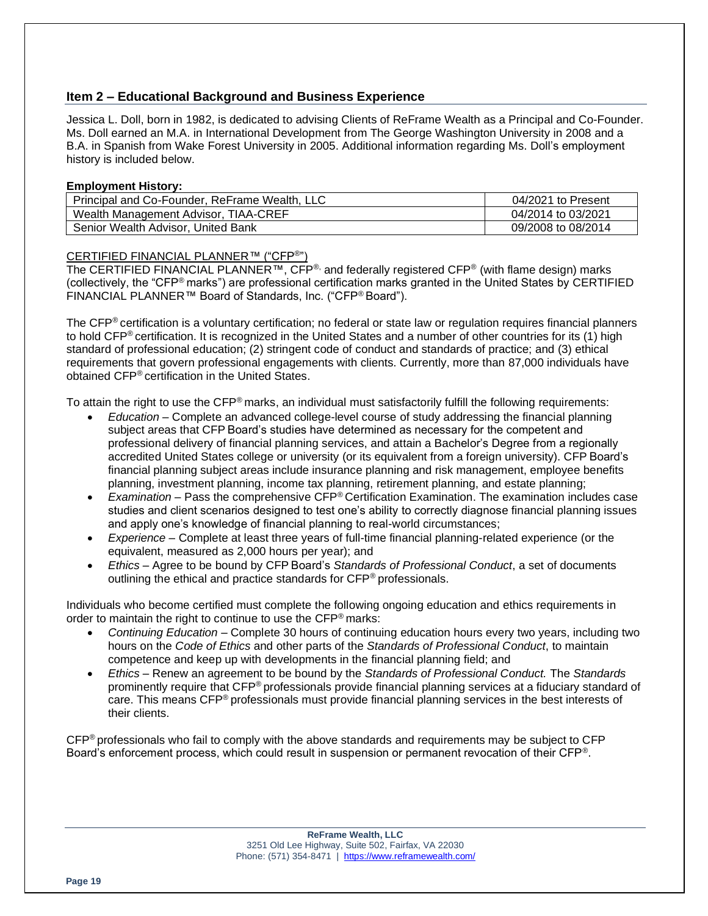# **Item 2 – Educational Background and Business Experience**

Jessica L. Doll, born in 1982, is dedicated to advising Clients of ReFrame Wealth as a Principal and Co-Founder. Ms. Doll earned an M.A. in International Development from The George Washington University in 2008 and a B.A. in Spanish from Wake Forest University in 2005. Additional information regarding Ms. Doll's employment history is included below.

#### **Employment History:**

| Principal and Co-Founder, ReFrame Wealth, LLC | 04/2021 to Present |
|-----------------------------------------------|--------------------|
| Wealth Management Advisor, TIAA-CREF          | 04/2014 to 03/2021 |
| Senior Wealth Advisor, United Bank            | 09/2008 to 08/2014 |

# CERTIFIED FINANCIAL PLANNER™ ("CFP®")

The CERTIFIED FINANCIAL PLANNER™, CFP<sup>®,</sup> and federally registered CFP<sup>®</sup> (with flame design) marks (collectively, the "CFP® marks") are professional certification marks granted in the United States by CERTIFIED FINANCIAL PLANNER™ Board of Standards, Inc. ("CFP® Board").

The CFP<sup>®</sup> certification is a voluntary certification; no federal or state law or regulation requires financial planners to hold CFP® certification. It is recognized in the United States and a number of other countries for its (1) high standard of professional education; (2) stringent code of conduct and standards of practice; and (3) ethical requirements that govern professional engagements with clients. Currently, more than 87,000 individuals have obtained CFP® certification in the United States.

To attain the right to use the CFP® marks, an individual must satisfactorily fulfill the following requirements:

- *Education* Complete an advanced college-level course of study addressing the financial planning subject areas that CFP Board's studies have determined as necessary for the competent and professional delivery of financial planning services, and attain a Bachelor's Degree from a regionally accredited United States college or university (or its equivalent from a foreign university). CFP Board's financial planning subject areas include insurance planning and risk management, employee benefits planning, investment planning, income tax planning, retirement planning, and estate planning;
- *Examination* Pass the comprehensive CFP® Certification Examination. The examination includes case studies and client scenarios designed to test one's ability to correctly diagnose financial planning issues and apply one's knowledge of financial planning to real-world circumstances;
- *Experience* Complete at least three years of full-time financial planning-related experience (or the equivalent, measured as 2,000 hours per year); and
- *Ethics* Agree to be bound by CFP Board's *Standards of Professional Conduct*, a set of documents outlining the ethical and practice standards for CFP® professionals.

Individuals who become certified must complete the following ongoing education and ethics requirements in order to maintain the right to continue to use the CFP® marks:

- *Continuing Education* Complete 30 hours of continuing education hours every two years, including two hours on the *Code of Ethics* and other parts of the *Standards of Professional Conduct*, to maintain competence and keep up with developments in the financial planning field; and
- *Ethics* Renew an agreement to be bound by the *Standards of Professional Conduct.* The *Standards* prominently require that CFP® professionals provide financial planning services at a fiduciary standard of care. This means CFP® professionals must provide financial planning services in the best interests of their clients.

CFP® professionals who fail to comply with the above standards and requirements may be subject to CFP Board's enforcement process, which could result in suspension or permanent revocation of their CFP®.

> **ReFrame Wealth, LLC** 3251 Old Lee Highway, Suite 502, Fairfax, VA 22030 Phone: (571) 354-8471 |<https://www.reframewealth.com/>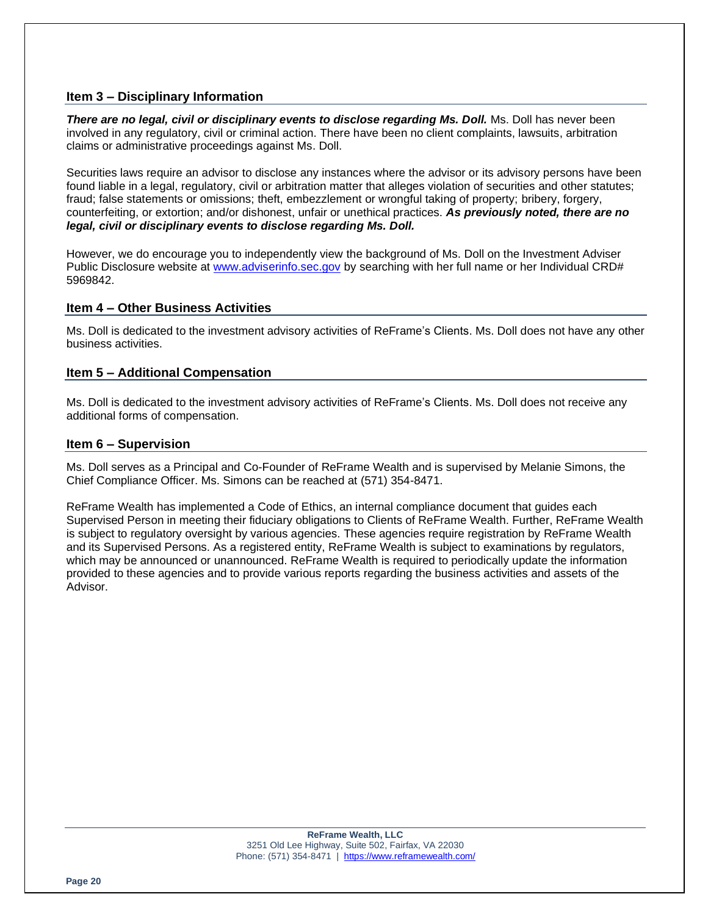# **Item 3 – Disciplinary Information**

*There are no legal, civil or disciplinary events to disclose regarding Ms. Doll.* Ms. Doll has never been involved in any regulatory, civil or criminal action. There have been no client complaints, lawsuits, arbitration claims or administrative proceedings against Ms. Doll.

Securities laws require an advisor to disclose any instances where the advisor or its advisory persons have been found liable in a legal, regulatory, civil or arbitration matter that alleges violation of securities and other statutes; fraud; false statements or omissions; theft, embezzlement or wrongful taking of property; bribery, forgery, counterfeiting, or extortion; and/or dishonest, unfair or unethical practices. *As previously noted, there are no legal, civil or disciplinary events to disclose regarding Ms. Doll.*

However, we do encourage you to independently view the background of Ms. Doll on the Investment Adviser Public Disclosure website at [www.adviserinfo.sec.gov](http://www.adviserinfo.sec.gov/) by searching with her full name or her Individual CRD# 5969842.

# **Item 4 – Other Business Activities**

Ms. Doll is dedicated to the investment advisory activities of ReFrame's Clients. Ms. Doll does not have any other business activities.

# **Item 5 – Additional Compensation**

Ms. Doll is dedicated to the investment advisory activities of ReFrame's Clients. Ms. Doll does not receive any additional forms of compensation.

#### **Item 6 – Supervision**

Ms. Doll serves as a Principal and Co-Founder of ReFrame Wealth and is supervised by Melanie Simons, the Chief Compliance Officer. Ms. Simons can be reached at (571) 354-8471.

ReFrame Wealth has implemented a Code of Ethics, an internal compliance document that guides each Supervised Person in meeting their fiduciary obligations to Clients of ReFrame Wealth. Further, ReFrame Wealth is subject to regulatory oversight by various agencies. These agencies require registration by ReFrame Wealth and its Supervised Persons. As a registered entity, ReFrame Wealth is subject to examinations by regulators, which may be announced or unannounced. ReFrame Wealth is required to periodically update the information provided to these agencies and to provide various reports regarding the business activities and assets of the Advisor.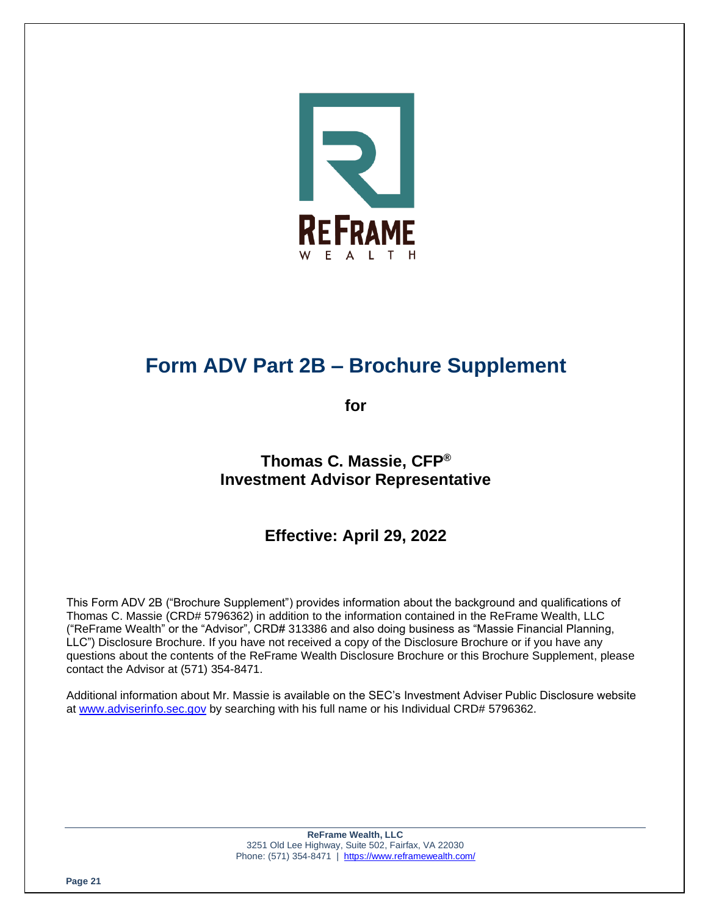

# **Form ADV Part 2B – Brochure Supplement**

**for**

# **Thomas C. Massie, CFP® Investment Advisor Representative**

# **Effective: April 29, 2022**

This Form ADV 2B ("Brochure Supplement") provides information about the background and qualifications of Thomas C. Massie (CRD# 5796362) in addition to the information contained in the ReFrame Wealth, LLC ("ReFrame Wealth" or the "Advisor", CRD# 313386 and also doing business as "Massie Financial Planning, LLC") Disclosure Brochure. If you have not received a copy of the Disclosure Brochure or if you have any questions about the contents of the ReFrame Wealth Disclosure Brochure or this Brochure Supplement, please contact the Advisor at (571) 354-8471.

Additional information about Mr. Massie is available on the SEC's Investment Adviser Public Disclosure website at [www.adviserinfo.sec.gov](http://www.adviserinfo.sec.gov/) by searching with his full name or his Individual CRD# 5796362.

> **ReFrame Wealth, LLC** 3251 Old Lee Highway, Suite 502, Fairfax, VA 22030 Phone: (571) 354-8471 |<https://www.reframewealth.com/>

**Page 21**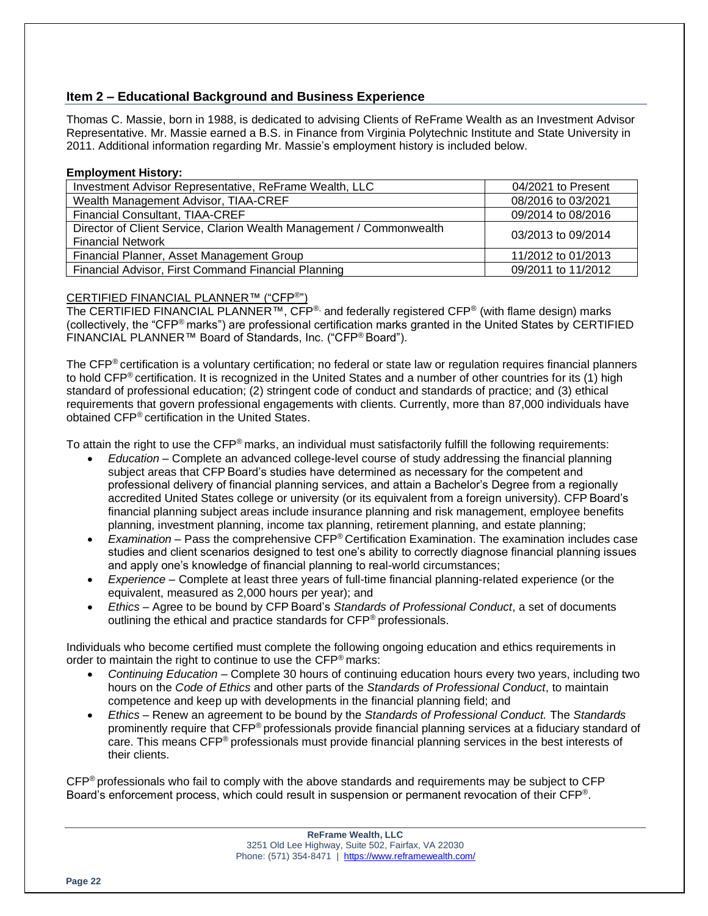# **Item 2 – Educational Background and Business Experience**

Thomas C. Massie, born in 1988, is dedicated to advising Clients of ReFrame Wealth as an Investment Advisor Representative. Mr. Massie earned a B.S. in Finance from Virginia Polytechnic Institute and State University in 2011. Additional information regarding Mr. Massie's employment history is included below.

#### **Employment History:**

| Investment Advisor Representative, ReFrame Wealth, LLC               | 04/2021 to Present |
|----------------------------------------------------------------------|--------------------|
| Wealth Management Advisor, TIAA-CREF                                 | 08/2016 to 03/2021 |
| <b>Financial Consultant, TIAA-CREF</b>                               | 09/2014 to 08/2016 |
| Director of Client Service, Clarion Wealth Management / Commonwealth | 03/2013 to 09/2014 |
| <b>Financial Network</b>                                             |                    |
| Financial Planner, Asset Management Group                            | 11/2012 to 01/2013 |
| Financial Advisor, First Command Financial Planning                  | 09/2011 to 11/2012 |

# CERTIFIED FINANCIAL PLANNER™ ("CFP®")

The CERTIFIED FINANCIAL PLANNER™, CFP®, and federally registered CFP® (with flame design) marks (collectively, the "CFP® marks") are professional certification marks granted in the United States by CERTIFIED FINANCIAL PLANNER™ Board of Standards, Inc. ("CFP® Board").

The CFP<sup>®</sup> certification is a voluntary certification; no federal or state law or regulation requires financial planners to hold CFP® certification. It is recognized in the United States and a number of other countries for its (1) high standard of professional education; (2) stringent code of conduct and standards of practice; and (3) ethical requirements that govern professional engagements with clients. Currently, more than 87,000 individuals have obtained CFP® certification in the United States.

To attain the right to use the  $\text{CFP}^{\textcircled{}}$  marks, an individual must satisfactorily fulfill the following requirements:

- *Education* Complete an advanced college-level course of study addressing the financial planning subject areas that CFP Board's studies have determined as necessary for the competent and professional delivery of financial planning services, and attain a Bachelor's Degree from a regionally accredited United States college or university (or its equivalent from a foreign university). CFP Board's financial planning subject areas include insurance planning and risk management, employee benefits planning, investment planning, income tax planning, retirement planning, and estate planning;
- *Examination* Pass the comprehensive CFP® Certification Examination. The examination includes case studies and client scenarios designed to test one's ability to correctly diagnose financial planning issues and apply one's knowledge of financial planning to real-world circumstances;
- *Experience* Complete at least three years of full-time financial planning-related experience (or the equivalent, measured as 2,000 hours per year); and
- *Ethics* Agree to be bound by CFP Board's *Standards of Professional Conduct*, a set of documents outlining the ethical and practice standards for CFP® professionals.

Individuals who become certified must complete the following ongoing education and ethics requirements in order to maintain the right to continue to use the CFP® marks:

- *Continuing Education* Complete 30 hours of continuing education hours every two years, including two hours on the *Code of Ethics* and other parts of the *Standards of Professional Conduct*, to maintain competence and keep up with developments in the financial planning field; and
- *Ethics* Renew an agreement to be bound by the *Standards of Professional Conduct.* The *Standards* prominently require that CFP® professionals provide financial planning services at a fiduciary standard of care. This means CFP® professionals must provide financial planning services in the best interests of their clients.

CFP® professionals who fail to comply with the above standards and requirements may be subject to CFP Board's enforcement process, which could result in suspension or permanent revocation of their CFP®.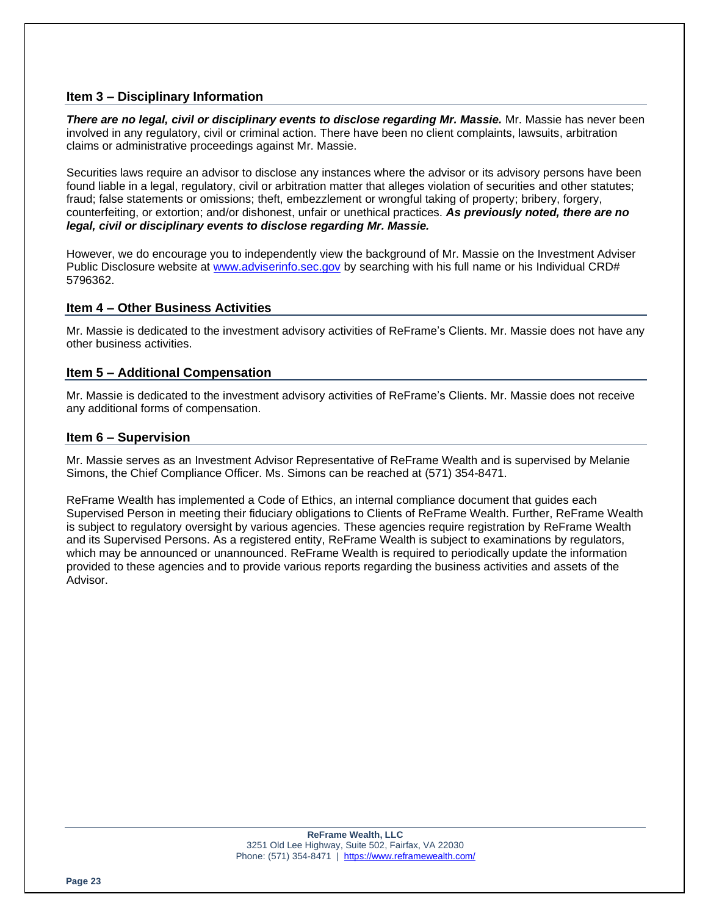# **Item 3 – Disciplinary Information**

*There are no legal, civil or disciplinary events to disclose regarding Mr. Massie.* Mr. Massie has never been involved in any regulatory, civil or criminal action. There have been no client complaints, lawsuits, arbitration claims or administrative proceedings against Mr. Massie.

Securities laws require an advisor to disclose any instances where the advisor or its advisory persons have been found liable in a legal, regulatory, civil or arbitration matter that alleges violation of securities and other statutes; fraud; false statements or omissions; theft, embezzlement or wrongful taking of property; bribery, forgery, counterfeiting, or extortion; and/or dishonest, unfair or unethical practices. *As previously noted, there are no legal, civil or disciplinary events to disclose regarding Mr. Massie.*

However, we do encourage you to independently view the background of Mr. Massie on the Investment Adviser Public Disclosure website at [www.adviserinfo.sec.gov](http://www.adviserinfo.sec.gov/) by searching with his full name or his Individual CRD# 5796362.

# **Item 4 – Other Business Activities**

Mr. Massie is dedicated to the investment advisory activities of ReFrame's Clients. Mr. Massie does not have any other business activities.

# **Item 5 – Additional Compensation**

Mr. Massie is dedicated to the investment advisory activities of ReFrame's Clients. Mr. Massie does not receive any additional forms of compensation.

# **Item 6 – Supervision**

Mr. Massie serves as an Investment Advisor Representative of ReFrame Wealth and is supervised by Melanie Simons, the Chief Compliance Officer. Ms. Simons can be reached at (571) 354-8471.

ReFrame Wealth has implemented a Code of Ethics, an internal compliance document that guides each Supervised Person in meeting their fiduciary obligations to Clients of ReFrame Wealth. Further, ReFrame Wealth is subject to regulatory oversight by various agencies. These agencies require registration by ReFrame Wealth and its Supervised Persons. As a registered entity, ReFrame Wealth is subject to examinations by regulators, which may be announced or unannounced. ReFrame Wealth is required to periodically update the information provided to these agencies and to provide various reports regarding the business activities and assets of the Advisor.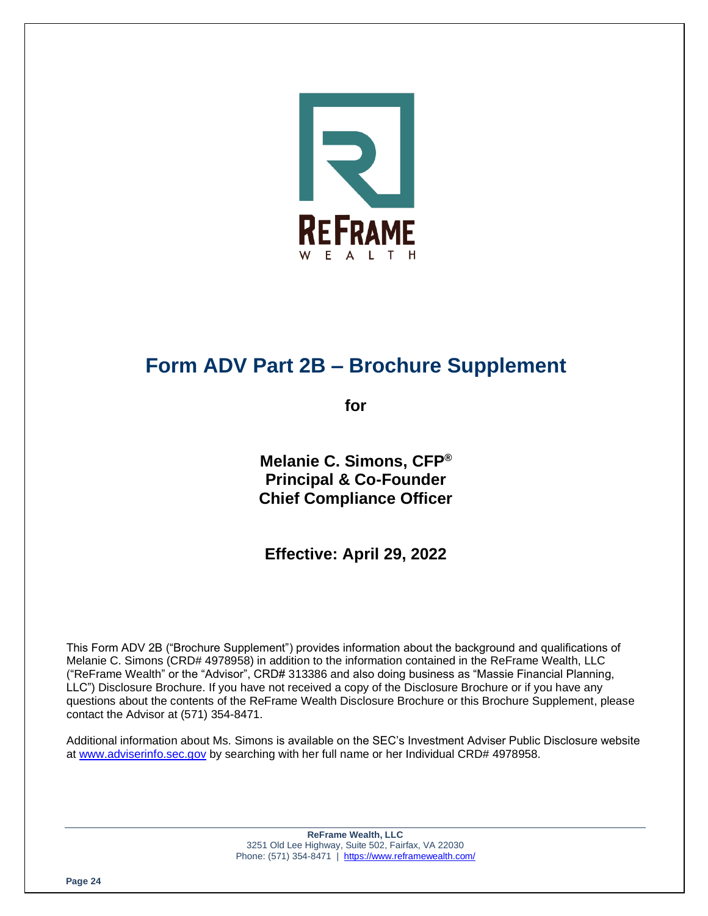

# **Form ADV Part 2B – Brochure Supplement**

**for**

**Melanie C. Simons, CFP® Principal & Co-Founder Chief Compliance Officer**

**Effective: April 29, 2022**

This Form ADV 2B ("Brochure Supplement") provides information about the background and qualifications of Melanie C. Simons (CRD# 4978958) in addition to the information contained in the ReFrame Wealth, LLC ("ReFrame Wealth" or the "Advisor", CRD# 313386 and also doing business as "Massie Financial Planning, LLC") Disclosure Brochure. If you have not received a copy of the Disclosure Brochure or if you have any questions about the contents of the ReFrame Wealth Disclosure Brochure or this Brochure Supplement, please contact the Advisor at (571) 354-8471.

Additional information about Ms. Simons is available on the SEC's Investment Adviser Public Disclosure website at [www.adviserinfo.sec.gov](http://www.adviserinfo.sec.gov/) by searching with her full name or her Individual CRD# 4978958.

> **ReFrame Wealth, LLC** 3251 Old Lee Highway, Suite 502, Fairfax, VA 22030 Phone: (571) 354-8471 |<https://www.reframewealth.com/>

**Page 24**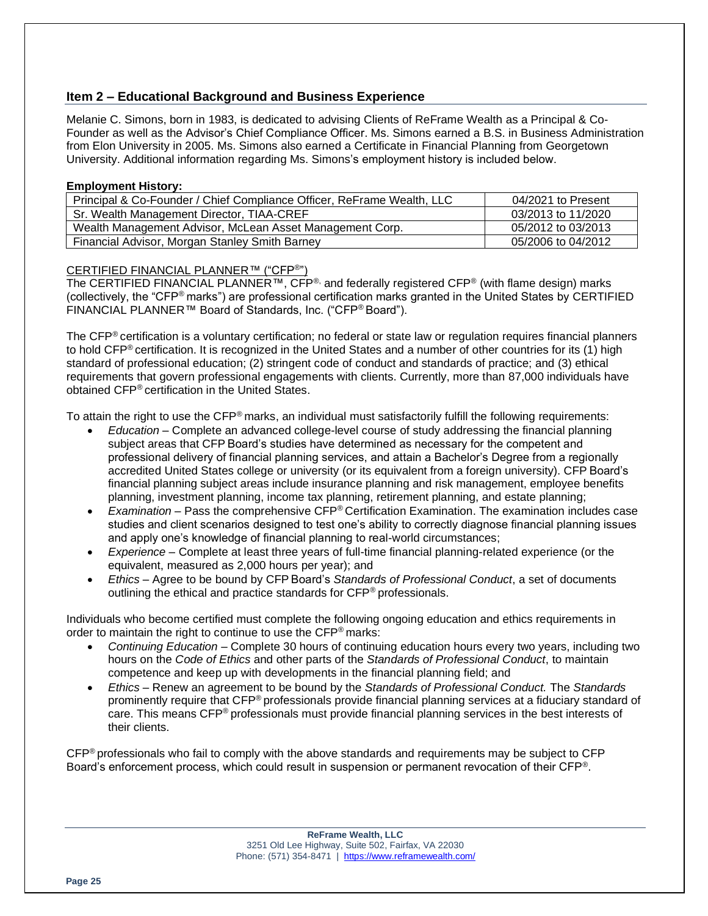# **Item 2 – Educational Background and Business Experience**

Melanie C. Simons, born in 1983, is dedicated to advising Clients of ReFrame Wealth as a Principal & Co-Founder as well as the Advisor's Chief Compliance Officer. Ms. Simons earned a B.S. in Business Administration from Elon University in 2005. Ms. Simons also earned a Certificate in Financial Planning from Georgetown University. Additional information regarding Ms. Simons's employment history is included below.

#### **Employment History:**

| Principal & Co-Founder / Chief Compliance Officer, ReFrame Wealth, LLC | 04/2021 to Present |
|------------------------------------------------------------------------|--------------------|
| Sr. Wealth Management Director, TIAA-CREF                              | 03/2013 to 11/2020 |
| Wealth Management Advisor, McLean Asset Management Corp.               | 05/2012 to 03/2013 |
| Financial Advisor, Morgan Stanley Smith Barney                         | 05/2006 to 04/2012 |

# CERTIFIED FINANCIAL PLANNER™ ("CFP®")

The CERTIFIED FINANCIAL PLANNER™, CFP<sup>®,</sup> and federally registered CFP<sup>®</sup> (with flame design) marks (collectively, the "CFP® marks") are professional certification marks granted in the United States by CERTIFIED FINANCIAL PLANNER™ Board of Standards, Inc. ("CFP® Board").

The CFP<sup>®</sup> certification is a voluntary certification; no federal or state law or regulation requires financial planners to hold CFP® certification. It is recognized in the United States and a number of other countries for its (1) high standard of professional education; (2) stringent code of conduct and standards of practice; and (3) ethical requirements that govern professional engagements with clients. Currently, more than 87,000 individuals have obtained CFP® certification in the United States.

To attain the right to use the  $\text{CFP}^{\textcircled{}}$  marks, an individual must satisfactorily fulfill the following requirements:

- *Education* Complete an advanced college-level course of study addressing the financial planning subject areas that CFP Board's studies have determined as necessary for the competent and professional delivery of financial planning services, and attain a Bachelor's Degree from a regionally accredited United States college or university (or its equivalent from a foreign university). CFP Board's financial planning subject areas include insurance planning and risk management, employee benefits planning, investment planning, income tax planning, retirement planning, and estate planning;
- *Examination* Pass the comprehensive CFP® Certification Examination. The examination includes case studies and client scenarios designed to test one's ability to correctly diagnose financial planning issues and apply one's knowledge of financial planning to real-world circumstances;
- *Experience* Complete at least three years of full-time financial planning-related experience (or the equivalent, measured as 2,000 hours per year); and
- *Ethics* Agree to be bound by CFP Board's *Standards of Professional Conduct*, a set of documents outlining the ethical and practice standards for CFP® professionals.

Individuals who become certified must complete the following ongoing education and ethics requirements in order to maintain the right to continue to use the CFP® marks:

- *Continuing Education* Complete 30 hours of continuing education hours every two years, including two hours on the *Code of Ethics* and other parts of the *Standards of Professional Conduct*, to maintain competence and keep up with developments in the financial planning field; and
- *Ethics* Renew an agreement to be bound by the *Standards of Professional Conduct.* The *Standards* prominently require that CFP® professionals provide financial planning services at a fiduciary standard of care. This means CFP® professionals must provide financial planning services in the best interests of their clients.

CFP® professionals who fail to comply with the above standards and requirements may be subject to CFP Board's enforcement process, which could result in suspension or permanent revocation of their CFP®.

> **ReFrame Wealth, LLC** 3251 Old Lee Highway, Suite 502, Fairfax, VA 22030 Phone: (571) 354-8471 |<https://www.reframewealth.com/>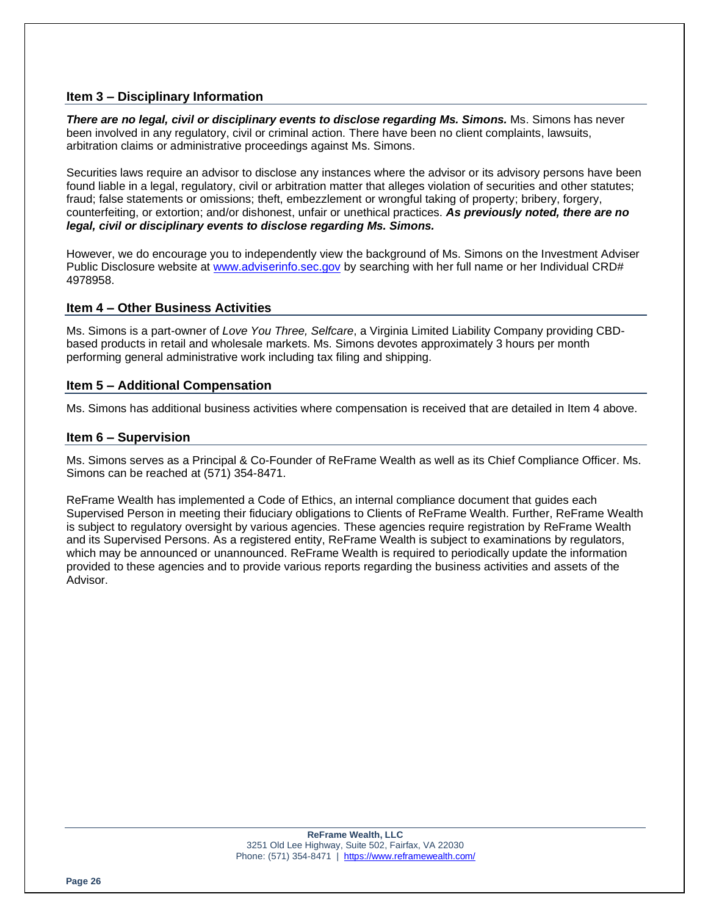# **Item 3 – Disciplinary Information**

*There are no legal, civil or disciplinary events to disclose regarding Ms. Simons.* Ms. Simons has never been involved in any regulatory, civil or criminal action. There have been no client complaints, lawsuits, arbitration claims or administrative proceedings against Ms. Simons.

Securities laws require an advisor to disclose any instances where the advisor or its advisory persons have been found liable in a legal, regulatory, civil or arbitration matter that alleges violation of securities and other statutes; fraud; false statements or omissions; theft, embezzlement or wrongful taking of property; bribery, forgery, counterfeiting, or extortion; and/or dishonest, unfair or unethical practices. *As previously noted, there are no legal, civil or disciplinary events to disclose regarding Ms. Simons.*

However, we do encourage you to independently view the background of Ms. Simons on the Investment Adviser Public Disclosure website at [www.adviserinfo.sec.gov](http://www.adviserinfo.sec.gov/) by searching with her full name or her Individual CRD# 4978958.

# **Item 4 – Other Business Activities**

Ms. Simons is a part-owner of *Love You Three, Selfcare*, a Virginia Limited Liability Company providing CBDbased products in retail and wholesale markets. Ms. Simons devotes approximately 3 hours per month performing general administrative work including tax filing and shipping.

# **Item 5 – Additional Compensation**

Ms. Simons has additional business activities where compensation is received that are detailed in Item 4 above.

# **Item 6 – Supervision**

Ms. Simons serves as a Principal & Co-Founder of ReFrame Wealth as well as its Chief Compliance Officer. Ms. Simons can be reached at (571) 354-8471.

ReFrame Wealth has implemented a Code of Ethics, an internal compliance document that guides each Supervised Person in meeting their fiduciary obligations to Clients of ReFrame Wealth. Further, ReFrame Wealth is subject to regulatory oversight by various agencies. These agencies require registration by ReFrame Wealth and its Supervised Persons. As a registered entity, ReFrame Wealth is subject to examinations by regulators, which may be announced or unannounced. ReFrame Wealth is required to periodically update the information provided to these agencies and to provide various reports regarding the business activities and assets of the Advisor.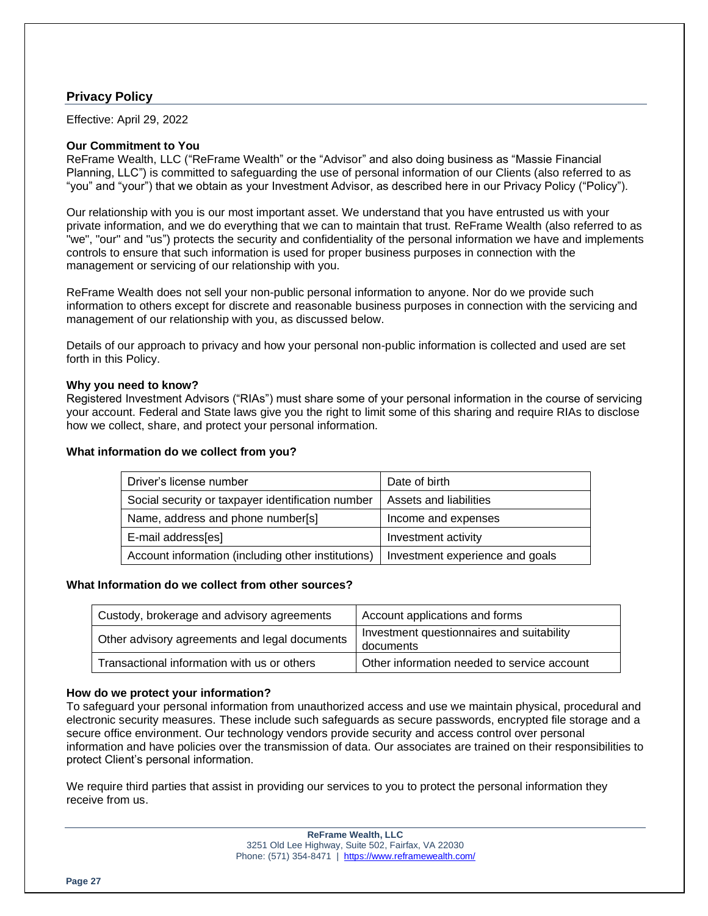# **Privacy Policy**

Effective: April 29, 2022

#### **Our Commitment to You**

ReFrame Wealth, LLC ("ReFrame Wealth" or the "Advisor" and also doing business as "Massie Financial Planning, LLC") is committed to safeguarding the use of personal information of our Clients (also referred to as "you" and "your") that we obtain as your Investment Advisor, as described here in our Privacy Policy ("Policy").

Our relationship with you is our most important asset. We understand that you have entrusted us with your private information, and we do everything that we can to maintain that trust. ReFrame Wealth (also referred to as "we", "our" and "us") protects the security and confidentiality of the personal information we have and implements controls to ensure that such information is used for proper business purposes in connection with the management or servicing of our relationship with you.

ReFrame Wealth does not sell your non-public personal information to anyone. Nor do we provide such information to others except for discrete and reasonable business purposes in connection with the servicing and management of our relationship with you, as discussed below.

Details of our approach to privacy and how your personal non-public information is collected and used are set forth in this Policy.

#### **Why you need to know?**

Registered Investment Advisors ("RIAs") must share some of your personal information in the course of servicing your account. Federal and State laws give you the right to limit some of this sharing and require RIAs to disclose how we collect, share, and protect your personal information.

#### **What information do we collect from you?**

| Driver's license number                            | Date of birth                   |
|----------------------------------------------------|---------------------------------|
| Social security or taxpayer identification number  | Assets and liabilities          |
| Name, address and phone number[s]                  | Income and expenses             |
| E-mail address[es]                                 | Investment activity             |
| Account information (including other institutions) | Investment experience and goals |

# **What Information do we collect from other sources?**

| Custody, brokerage and advisory agreements    | Account applications and forms                         |
|-----------------------------------------------|--------------------------------------------------------|
| Other advisory agreements and legal documents | Investment questionnaires and suitability<br>documents |
| Transactional information with us or others   | Other information needed to service account            |

# **How do we protect your information?**

To safeguard your personal information from unauthorized access and use we maintain physical, procedural and electronic security measures. These include such safeguards as secure passwords, encrypted file storage and a secure office environment. Our technology vendors provide security and access control over personal information and have policies over the transmission of data. Our associates are trained on their responsibilities to protect Client's personal information.

We require third parties that assist in providing our services to you to protect the personal information they receive from us.